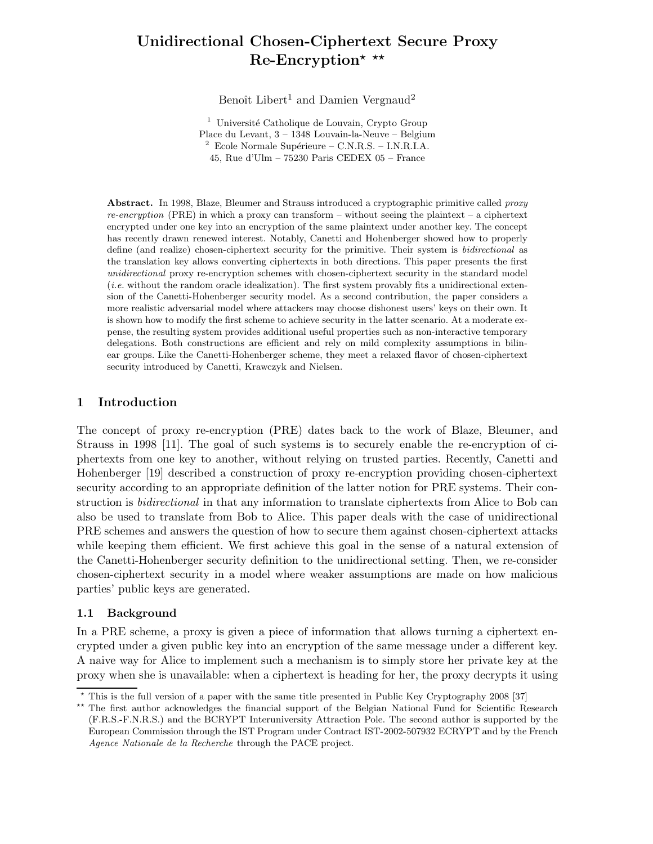# Unidirectional Chosen-Ciphertext Secure Proxy  $Re\text{-}Encryption* \star\star$

Benoît Libert<sup>1</sup> and Damien Vergnaud<sup>2</sup>

 $^{\rm 1}$ Université Catholique de Louvain, Crypto Group Place du Levant, 3 – 1348 Louvain-la-Neuve – Belgium  $2$  Ecole Normale Supérieure – C.N.R.S. – I.N.R.I.A. 45, Rue d'Ulm – 75230 Paris CEDEX 05 – France

Abstract. In 1998, Blaze, Bleumer and Strauss introduced a cryptographic primitive called proxy re-encryption (PRE) in which a proxy can transform – without seeing the plaintext – a ciphertext encrypted under one key into an encryption of the same plaintext under another key. The concept has recently drawn renewed interest. Notably, Canetti and Hohenberger showed how to properly define (and realize) chosen-ciphertext security for the primitive. Their system is *bidirectional* as the translation key allows converting ciphertexts in both directions. This paper presents the first unidirectional proxy re-encryption schemes with chosen-ciphertext security in the standard model (i.e. without the random oracle idealization). The first system provably fits a unidirectional extension of the Canetti-Hohenberger security model. As a second contribution, the paper considers a more realistic adversarial model where attackers may choose dishonest users' keys on their own. It is shown how to modify the first scheme to achieve security in the latter scenario. At a moderate expense, the resulting system provides additional useful properties such as non-interactive temporary delegations. Both constructions are efficient and rely on mild complexity assumptions in bilinear groups. Like the Canetti-Hohenberger scheme, they meet a relaxed flavor of chosen-ciphertext security introduced by Canetti, Krawczyk and Nielsen.

# 1 Introduction

The concept of proxy re-encryption (PRE) dates back to the work of Blaze, Bleumer, and Strauss in 1998 [11]. The goal of such systems is to securely enable the re-encryption of ciphertexts from one key to another, without relying on trusted parties. Recently, Canetti and Hohenberger [19] described a construction of proxy re-encryption providing chosen-ciphertext security according to an appropriate definition of the latter notion for PRE systems. Their construction is *bidirectional* in that any information to translate ciphertexts from Alice to Bob can also be used to translate from Bob to Alice. This paper deals with the case of unidirectional PRE schemes and answers the question of how to secure them against chosen-ciphertext attacks while keeping them efficient. We first achieve this goal in the sense of a natural extension of the Canetti-Hohenberger security definition to the unidirectional setting. Then, we re-consider chosen-ciphertext security in a model where weaker assumptions are made on how malicious parties' public keys are generated.

# 1.1 Background

In a PRE scheme, a proxy is given a piece of information that allows turning a ciphertext encrypted under a given public key into an encryption of the same message under a different key. A naive way for Alice to implement such a mechanism is to simply store her private key at the proxy when she is unavailable: when a ciphertext is heading for her, the proxy decrypts it using

 $\star$  This is the full version of a paper with the same title presented in Public Key Cryptography 2008 [37]

<sup>\*\*</sup> The first author acknowledges the financial support of the Belgian National Fund for Scientific Research (F.R.S.-F.N.R.S.) and the BCRYPT Interuniversity Attraction Pole. The second author is supported by the European Commission through the IST Program under Contract IST-2002-507932 ECRYPT and by the French Agence Nationale de la Recherche through the PACE project.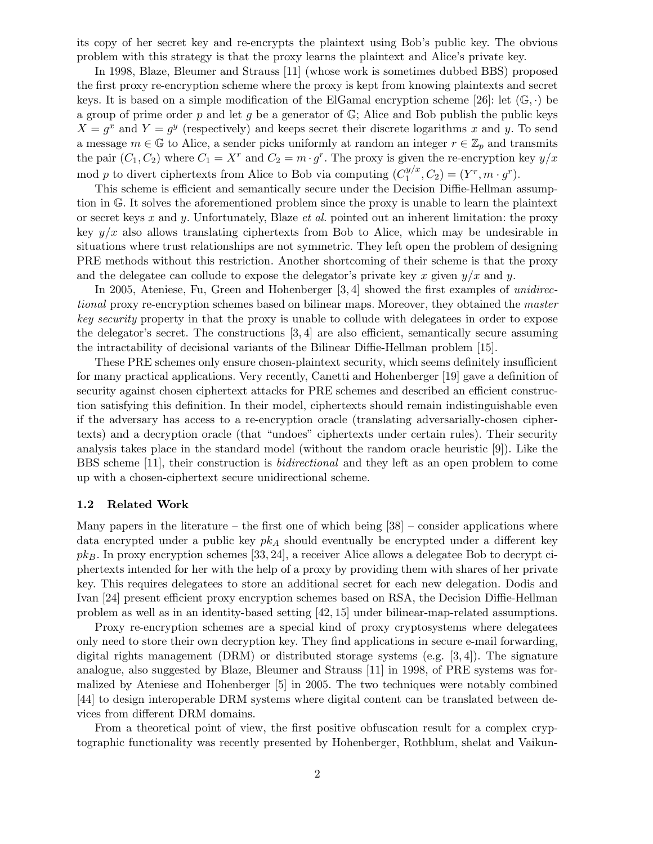its copy of her secret key and re-encrypts the plaintext using Bob's public key. The obvious problem with this strategy is that the proxy learns the plaintext and Alice's private key.

In 1998, Blaze, Bleumer and Strauss [11] (whose work is sometimes dubbed BBS) proposed the first proxy re-encryption scheme where the proxy is kept from knowing plaintexts and secret keys. It is based on a simple modification of the ElGamal encryption scheme [26]: let  $(\mathbb{G}, \cdot)$  be a group of prime order p and let q be a generator of  $\mathbb{G}$ ; Alice and Bob publish the public keys  $X = g^x$  and  $Y = g^y$  (respectively) and keeps secret their discrete logarithms x and y. To send a message  $m \in \mathbb{G}$  to Alice, a sender picks uniformly at random an integer  $r \in \mathbb{Z}_p$  and transmits the pair  $(C_1, C_2)$  where  $C_1 = X^r$  and  $C_2 = m \cdot g^r$ . The proxy is given the re-encryption key  $y/x$ mod p to divert ciphertexts from Alice to Bob via computing  $(C_1^{y/x})$  $J_1^{y/x}, C_2$  =  $(Y^r, m \cdot g^r)$ .

This scheme is efficient and semantically secure under the Decision Diffie-Hellman assumption in G. It solves the aforementioned problem since the proxy is unable to learn the plaintext or secret keys x and y. Unfortunately, Blaze *et al.* pointed out an inherent limitation: the proxy key  $y/x$  also allows translating ciphertexts from Bob to Alice, which may be undesirable in situations where trust relationships are not symmetric. They left open the problem of designing PRE methods without this restriction. Another shortcoming of their scheme is that the proxy and the delegatee can collude to expose the delegator's private key x given  $y/x$  and y.

In 2005, Ateniese, Fu, Green and Hohenberger [3, 4] showed the first examples of unidirectional proxy re-encryption schemes based on bilinear maps. Moreover, they obtained the master key security property in that the proxy is unable to collude with delegatees in order to expose the delegator's secret. The constructions [3, 4] are also efficient, semantically secure assuming the intractability of decisional variants of the Bilinear Diffie-Hellman problem [15].

These PRE schemes only ensure chosen-plaintext security, which seems definitely insufficient for many practical applications. Very recently, Canetti and Hohenberger [19] gave a definition of security against chosen ciphertext attacks for PRE schemes and described an efficient construction satisfying this definition. In their model, ciphertexts should remain indistinguishable even if the adversary has access to a re-encryption oracle (translating adversarially-chosen ciphertexts) and a decryption oracle (that "undoes" ciphertexts under certain rules). Their security analysis takes place in the standard model (without the random oracle heuristic [9]). Like the BBS scheme [11], their construction is bidirectional and they left as an open problem to come up with a chosen-ciphertext secure unidirectional scheme.

## 1.2 Related Work

Many papers in the literature – the first one of which being  $[38]$  – consider applications where data encrypted under a public key  $pk<sub>A</sub>$  should eventually be encrypted under a different key  $pk_B$ . In proxy encryption schemes [33, 24], a receiver Alice allows a delegatee Bob to decrypt ciphertexts intended for her with the help of a proxy by providing them with shares of her private key. This requires delegatees to store an additional secret for each new delegation. Dodis and Ivan [24] present efficient proxy encryption schemes based on RSA, the Decision Diffie-Hellman problem as well as in an identity-based setting [42, 15] under bilinear-map-related assumptions.

Proxy re-encryption schemes are a special kind of proxy cryptosystems where delegatees only need to store their own decryption key. They find applications in secure e-mail forwarding, digital rights management (DRM) or distributed storage systems (e.g. [3, 4]). The signature analogue, also suggested by Blaze, Bleumer and Strauss [11] in 1998, of PRE systems was formalized by Ateniese and Hohenberger [5] in 2005. The two techniques were notably combined [44] to design interoperable DRM systems where digital content can be translated between devices from different DRM domains.

From a theoretical point of view, the first positive obfuscation result for a complex cryptographic functionality was recently presented by Hohenberger, Rothblum, shelat and Vaikun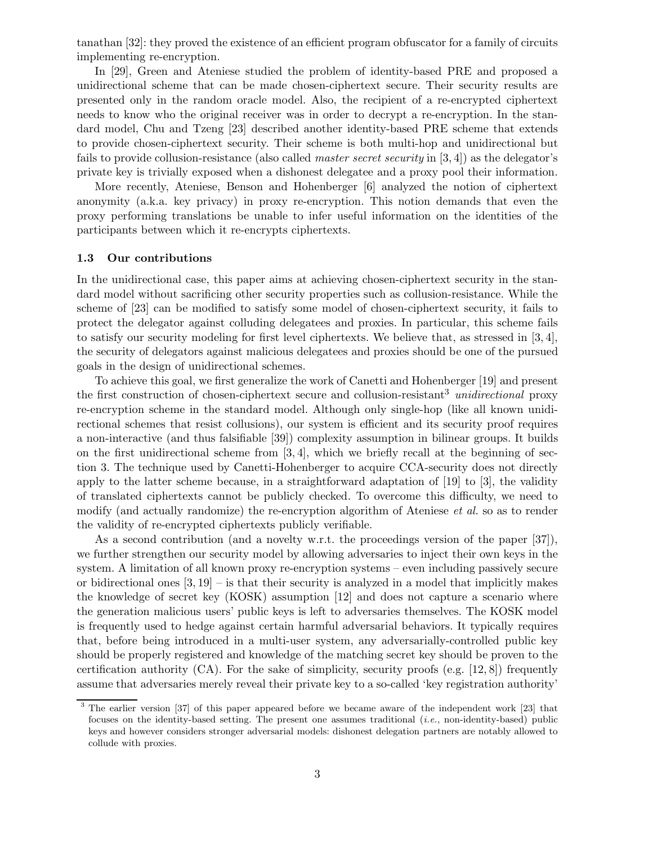tanathan [32]: they proved the existence of an efficient program obfuscator for a family of circuits implementing re-encryption.

In [29], Green and Ateniese studied the problem of identity-based PRE and proposed a unidirectional scheme that can be made chosen-ciphertext secure. Their security results are presented only in the random oracle model. Also, the recipient of a re-encrypted ciphertext needs to know who the original receiver was in order to decrypt a re-encryption. In the standard model, Chu and Tzeng [23] described another identity-based PRE scheme that extends to provide chosen-ciphertext security. Their scheme is both multi-hop and unidirectional but fails to provide collusion-resistance (also called master secret security in [3, 4]) as the delegator's private key is trivially exposed when a dishonest delegatee and a proxy pool their information.

More recently, Ateniese, Benson and Hohenberger [6] analyzed the notion of ciphertext anonymity (a.k.a. key privacy) in proxy re-encryption. This notion demands that even the proxy performing translations be unable to infer useful information on the identities of the participants between which it re-encrypts ciphertexts.

## 1.3 Our contributions

In the unidirectional case, this paper aims at achieving chosen-ciphertext security in the standard model without sacrificing other security properties such as collusion-resistance. While the scheme of [23] can be modified to satisfy some model of chosen-ciphertext security, it fails to protect the delegator against colluding delegatees and proxies. In particular, this scheme fails to satisfy our security modeling for first level ciphertexts. We believe that, as stressed in  $[3, 4]$ , the security of delegators against malicious delegatees and proxies should be one of the pursued goals in the design of unidirectional schemes.

To achieve this goal, we first generalize the work of Canetti and Hohenberger [19] and present the first construction of chosen-ciphertext secure and collusion-resistant<sup>3</sup> unidirectional proxy re-encryption scheme in the standard model. Although only single-hop (like all known unidirectional schemes that resist collusions), our system is efficient and its security proof requires a non-interactive (and thus falsifiable [39]) complexity assumption in bilinear groups. It builds on the first unidirectional scheme from  $[3, 4]$ , which we briefly recall at the beginning of section 3. The technique used by Canetti-Hohenberger to acquire CCA-security does not directly apply to the latter scheme because, in a straightforward adaptation of [19] to [3], the validity of translated ciphertexts cannot be publicly checked. To overcome this difficulty, we need to modify (and actually randomize) the re-encryption algorithm of Ateniese *et al.* so as to render the validity of re-encrypted ciphertexts publicly verifiable.

As a second contribution (and a novelty w.r.t. the proceedings version of the paper [37]), we further strengthen our security model by allowing adversaries to inject their own keys in the system. A limitation of all known proxy re-encryption systems – even including passively secure or bidirectional ones  $[3, 19]$  – is that their security is analyzed in a model that implicitly makes the knowledge of secret key (KOSK) assumption [12] and does not capture a scenario where the generation malicious users' public keys is left to adversaries themselves. The KOSK model is frequently used to hedge against certain harmful adversarial behaviors. It typically requires that, before being introduced in a multi-user system, any adversarially-controlled public key should be properly registered and knowledge of the matching secret key should be proven to the certification authority  $(CA)$ . For the sake of simplicity, security proofs (e.g. [12, 8]) frequently assume that adversaries merely reveal their private key to a so-called 'key registration authority'

<sup>&</sup>lt;sup>3</sup> The earlier version [37] of this paper appeared before we became aware of the independent work [23] that focuses on the identity-based setting. The present one assumes traditional (i.e., non-identity-based) public keys and however considers stronger adversarial models: dishonest delegation partners are notably allowed to collude with proxies.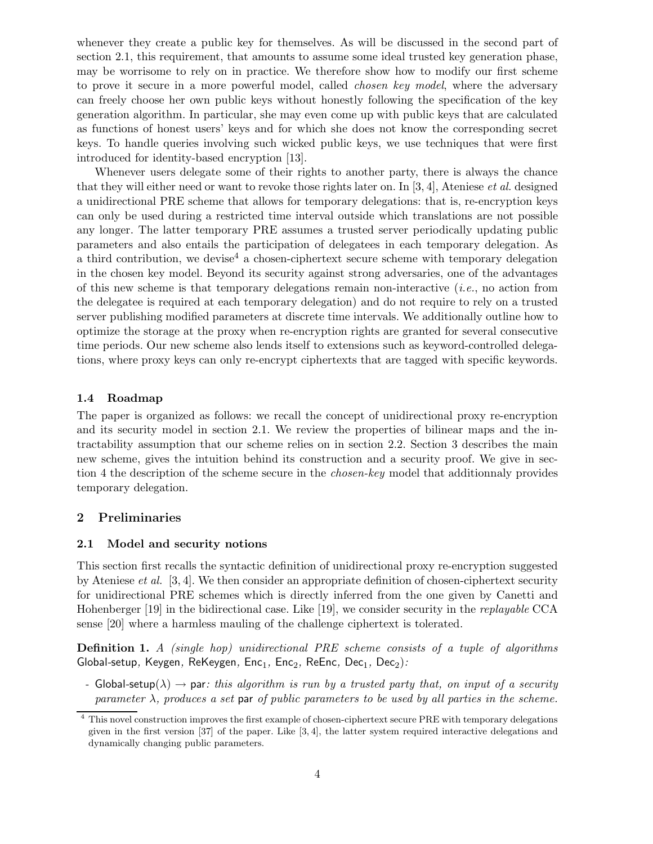whenever they create a public key for themselves. As will be discussed in the second part of section 2.1, this requirement, that amounts to assume some ideal trusted key generation phase, may be worrisome to rely on in practice. We therefore show how to modify our first scheme to prove it secure in a more powerful model, called *chosen key model*, where the adversary can freely choose her own public keys without honestly following the specification of the key generation algorithm. In particular, she may even come up with public keys that are calculated as functions of honest users' keys and for which she does not know the corresponding secret keys. To handle queries involving such wicked public keys, we use techniques that were first introduced for identity-based encryption [13].

Whenever users delegate some of their rights to another party, there is always the chance that they will either need or want to revoke those rights later on. In [3, 4], Ateniese *et al.* designed a unidirectional PRE scheme that allows for temporary delegations: that is, re-encryption keys can only be used during a restricted time interval outside which translations are not possible any longer. The latter temporary PRE assumes a trusted server periodically updating public parameters and also entails the participation of delegatees in each temporary delegation. As a third contribution, we devise<sup>4</sup> a chosen-ciphertext secure scheme with temporary delegation in the chosen key model. Beyond its security against strong adversaries, one of the advantages of this new scheme is that temporary delegations remain non-interactive  $(i.e.,$  no action from the delegatee is required at each temporary delegation) and do not require to rely on a trusted server publishing modified parameters at discrete time intervals. We additionally outline how to optimize the storage at the proxy when re-encryption rights are granted for several consecutive time periods. Our new scheme also lends itself to extensions such as keyword-controlled delegations, where proxy keys can only re-encrypt ciphertexts that are tagged with specific keywords.

## 1.4 Roadmap

The paper is organized as follows: we recall the concept of unidirectional proxy re-encryption and its security model in section 2.1. We review the properties of bilinear maps and the intractability assumption that our scheme relies on in section 2.2. Section 3 describes the main new scheme, gives the intuition behind its construction and a security proof. We give in section 4 the description of the scheme secure in the *chosen-key* model that additionnaly provides temporary delegation.

# 2 Preliminaries

## 2.1 Model and security notions

This section first recalls the syntactic definition of unidirectional proxy re-encryption suggested by Ateniese *et al.* [3, 4]. We then consider an appropriate definition of chosen-ciphertext security for unidirectional PRE schemes which is directly inferred from the one given by Canetti and Hohenberger [19] in the bidirectional case. Like [19], we consider security in the replayable CCA sense [20] where a harmless mauling of the challenge ciphertext is tolerated.

Definition 1. A (single hop) unidirectional PRE scheme consists of a tuple of algorithms Global-setup, Keygen, ReKeygen, Enc<sub>1</sub>, Enc<sub>2</sub>, ReEnc, Dec<sub>1</sub>, Dec<sub>2</sub>):

- Global-setup( $\lambda$ )  $\rightarrow$  par: this algorithm is run by a trusted party that, on input of a security parameter  $\lambda$ , produces a set par of public parameters to be used by all parties in the scheme.

<sup>4</sup> This novel construction improves the first example of chosen-ciphertext secure PRE with temporary delegations given in the first version [37] of the paper. Like [3, 4], the latter system required interactive delegations and dynamically changing public parameters.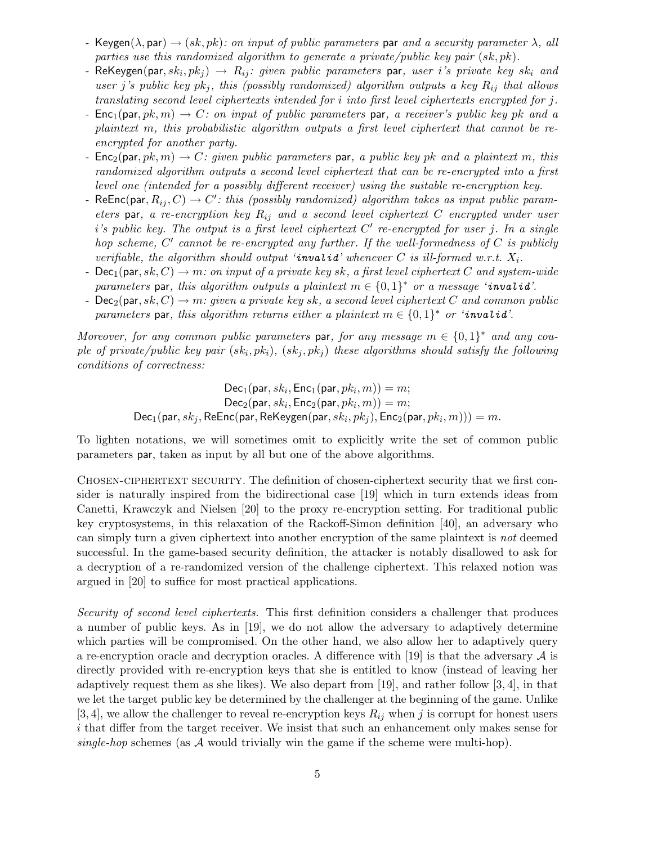- Keygen( $\lambda$ , par)  $\rightarrow$  (sk, pk): on input of public parameters par and a security parameter  $\lambda$ , all parties use this randomized algorithm to generate a private/public key pair  $(sk, pk)$ .
- ReKeygen $(\mathsf{par}, sk_i, pk_j) \,\rightarrow\, R_{ij}{:}\, given\, public\, parameters\,\, \mathsf{par},\, user\,\, i\,'s\,\, private\,\, key\,\, sk_i\,\, and\,$ user j's public key  $pk_j$ , this (possibly randomized) algorithm outputs a key  $R_{ij}$  that allows translating second level ciphertexts intended for i into first level ciphertexts encrypted for j.
- Enc<sub>1</sub>(par,  $pk, m$ )  $\rightarrow C$ : on input of public parameters par, a receiver's public key pk and a plaintext m, this probabilistic algorithm outputs a first level ciphertext that cannot be reencrypted for another party.
- $Enc_2(\text{par}, pk, m) \rightarrow C$ : given public parameters par, a public key pk and a plaintext m, this randomized algorithm outputs a second level ciphertext that can be re-encrypted into a first level one (intended for a possibly different receiver) using the suitable re-encryption key.
- ReEnc(par,  $R_{ij}, C$ )  $\rightarrow$  C': this (possibly randomized) algorithm takes as input public parameters par, a re-encryption key  $R_{ij}$  and a second level ciphertext C encrypted under user  $i$ 's public key. The output is a first level ciphertext  $C'$  re-encrypted for user j. In a single hop scheme,  $C'$  cannot be re-encrypted any further. If the well-formedness of  $C$  is publicly verifiable, the algorithm should output 'invalid' whenever  $C$  is ill-formed w.r.t.  $X_i$ .
- $Dec_1(\text{par}, sk, C) \rightarrow m$ : on input of a private key sk, a first level ciphertext C and system-wide parameters par, this algorithm outputs a plaintext  $m \in \{0,1\}^*$  or a message 'invalid'.
- $Dec_2$ (par, sk, C)  $\rightarrow$  m: given a private key sk, a second level ciphertext C and common public parameters par, this algorithm returns either a plaintext  $m \in \{0,1\}^*$  or 'invalid'.

Moreover, for any common public parameters par, for any message  $m \in \{0,1\}^*$  and any couple of private/public key pair  $(sk_i, pk_i)$ ,  $(sk_j, pk_j)$  these algorithms should satisfy the following conditions of correctness:

> $\mathsf{Dec}_1(\mathsf{par}, sk_i, \mathsf{Enc}_1(\mathsf{par}, pk_i, m)) = m;$  $\mathsf{Dec}_2(\mathsf{par}, sk_i, \mathsf{Enc}_2(\mathsf{par}, \mathit{pk}_i, m)) = m;$  $\mathsf{Dec}_1(\mathsf{par}, sk_j, \mathsf{ReEnc}(\mathsf{par}, \mathsf{ReKeygen}(\mathsf{par}, sk_i, pk_j), \mathsf{Enc}_2(\mathsf{par}, pk_i, m)))=m.$

To lighten notations, we will sometimes omit to explicitly write the set of common public parameters par, taken as input by all but one of the above algorithms.

Chosen-ciphertext security. The definition of chosen-ciphertext security that we first consider is naturally inspired from the bidirectional case [19] which in turn extends ideas from Canetti, Krawczyk and Nielsen [20] to the proxy re-encryption setting. For traditional public key cryptosystems, in this relaxation of the Rackoff-Simon definition [40], an adversary who can simply turn a given ciphertext into another encryption of the same plaintext is not deemed successful. In the game-based security definition, the attacker is notably disallowed to ask for a decryption of a re-randomized version of the challenge ciphertext. This relaxed notion was argued in [20] to suffice for most practical applications.

Security of second level ciphertexts. This first definition considers a challenger that produces a number of public keys. As in [19], we do not allow the adversary to adaptively determine which parties will be compromised. On the other hand, we also allow her to adaptively query a re-encryption oracle and decryption oracles. A difference with [19] is that the adversary  $A$  is directly provided with re-encryption keys that she is entitled to know (instead of leaving her adaptively request them as she likes). We also depart from [19], and rather follow [3, 4], in that we let the target public key be determined by the challenger at the beginning of the game. Unlike [3, 4], we allow the challenger to reveal re-encryption keys  $R_{ij}$  when j is corrupt for honest users i that differ from the target receiver. We insist that such an enhancement only makes sense for single-hop schemes (as  $A$  would trivially win the game if the scheme were multi-hop).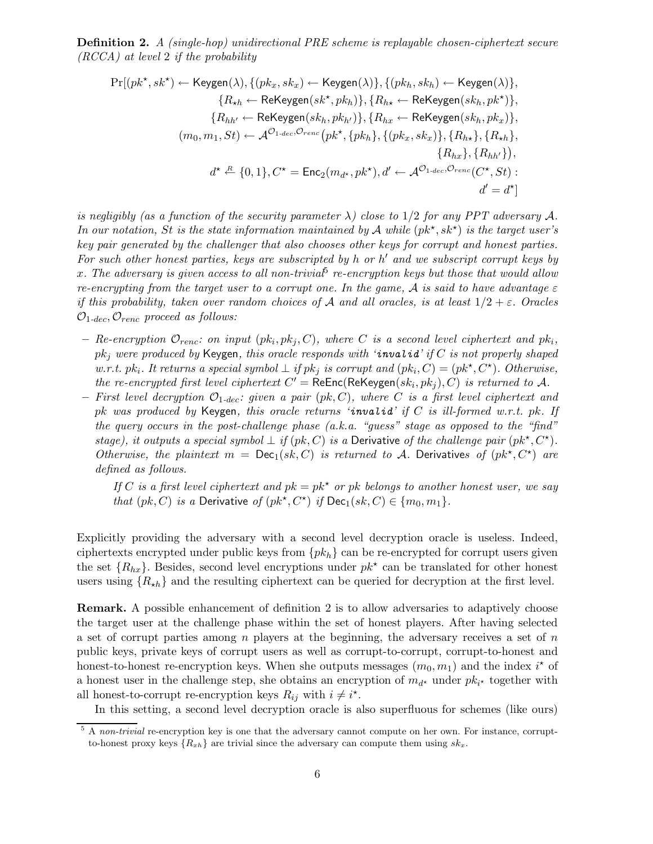Definition 2. A (single-hop) unidirectional PRE scheme is replayable chosen-ciphertext secure (RCCA) at level 2 if the probability

$$
\Pr[(pk^{\star}, sk^{\star}) \leftarrow \text{Keygen}(\lambda), \{(pk_x, sk_x) \leftarrow \text{Keygen}(\lambda)\}, \{(pk_h, sk_h) \leftarrow \text{Keygen}(\lambda)\},
$$
\n
$$
\{R_{\star h} \leftarrow \text{ReKeygen}(sk^{\star}, pk_h)\}, \{R_{h\star} \leftarrow \text{ReKeygen}(sk_h, pk^{\star})\},
$$
\n
$$
\{R_{hh'} \leftarrow \text{ReKeygen}(sk_h, pk_h)\}, \{R_{hx} \leftarrow \text{ReKeygen}(sk_h, pk_x)\},
$$
\n
$$
(m_0, m_1, St) \leftarrow \mathcal{A}^{O_{1-dec}, O_{renc}}(pk^{\star}, \{pk_h\}, \{(pk_x, sk_x)\}, \{R_{h\star}\}, \{R_{\star h}\},
$$
\n
$$
\{R_{hx}\}, \{R_{hh'}\}\},
$$
\n
$$
d^{\star} \xleftarrow{R} \{0, 1\}, C^{\star} = \text{Enc}_2(m_{d^{\star}}, pk^{\star}), d' \leftarrow \mathcal{A}^{O_{1-dec}, O_{renc}}(C^{\star}, St):
$$
\n
$$
d' = d^{\star}]
$$

is negligibly (as a function of the security parameter  $\lambda$ ) close to 1/2 for any PPT adversary A. In our notation, St is the state information maintained by A while  $(pk^{\star}, sk^{\star})$  is the target user's key pair generated by the challenger that also chooses other keys for corrupt and honest parties. For such other honest parties, keys are subscripted by h or h' and we subscript corrupt keys by x. The adversary is given access to all non-trivia $^5$  re-encryption keys but those that would allow re-encrypting from the target user to a corrupt one. In the game, A is said to have advantage  $\varepsilon$ if this probability, taken over random choices of A and all oracles, is at least  $1/2 + \varepsilon$ . Oracles  $\mathcal{O}_{1-dec}, \mathcal{O}_{renc}$  proceed as follows:

- $-$  Re-encryption  $\mathcal{O}_{renc}:$  on input  $(pk_i, pk_j, C)$ , where C is a second level ciphertext and  $pk_i$ ,  $pk_j$  were produced by Keygen, this oracle responds with 'invalid' if C is not properly shaped w.r.t. pk<sub>i</sub>. It returns a special symbol  $\perp$  if pk<sub>j</sub> is corrupt and  $(pk_i, C) = (pk^*, C^*)$ . Otherwise, the re-encrypted first level ciphertext  $C' = \text{ReEnc}(\text{ReKeygen}(sk_i, pk_j), C)$  is returned to A.
- First level decryption  $\mathcal{O}_{1-dec}$ : given a pair  $(pk, C)$ , where C is a first level ciphertext and pk was produced by Keygen, this oracle returns 'invalid' if  $C$  is ill-formed w.r.t. pk. If the query occurs in the post-challenge phase (a.k.a. "guess" stage as opposed to the "find" stage), it outputs a special symbol  $\perp$  if  $(pk, C)$  is a Derivative of the challenge pair  $(pk^*, C^*)$ . Otherwise, the plaintext  $m = \text{Dec}_1(sk, C)$  is returned to A. Derivatives of  $(pk^*, C^*)$  are defined as follows.

If C is a first level ciphertext and  $pk = pk^*$  or pk belongs to another honest user, we say that  $(pk, C)$  is a Derivative of  $(pk^*, C^*)$  if  $\mathsf{Dec}_1(sk, C) \in \{m_0, m_1\}.$ 

Explicitly providing the adversary with a second level decryption oracle is useless. Indeed, ciphertexts encrypted under public keys from  $\{pk_h\}$  can be re-encrypted for corrupt users given the set  ${R_{hx}}$ . Besides, second level encryptions under  $pk^*$  can be translated for other honest users using  $\{R_{\star h}\}\$  and the resulting ciphertext can be queried for decryption at the first level.

Remark. A possible enhancement of definition 2 is to allow adversaries to adaptively choose the target user at the challenge phase within the set of honest players. After having selected a set of corrupt parties among  $n$  players at the beginning, the adversary receives a set of  $n$ public keys, private keys of corrupt users as well as corrupt-to-corrupt, corrupt-to-honest and honest-to-honest re-encryption keys. When she outputs messages  $(m_0, m_1)$  and the index  $i^*$  of a honest user in the challenge step, she obtains an encryption of  $m_{d^*}$  under  $pk_{i^*}$  together with all honest-to-corrupt re-encryption keys  $R_{ij}$  with  $i \neq i^*$ .

In this setting, a second level decryption oracle is also superfluous for schemes (like ours)

<sup>&</sup>lt;sup>5</sup> A non-trivial re-encryption key is one that the adversary cannot compute on her own. For instance, corruptto-honest proxy keys  $\{R_{xh}\}\$ are trivial since the adversary can compute them using  $sk_x$ .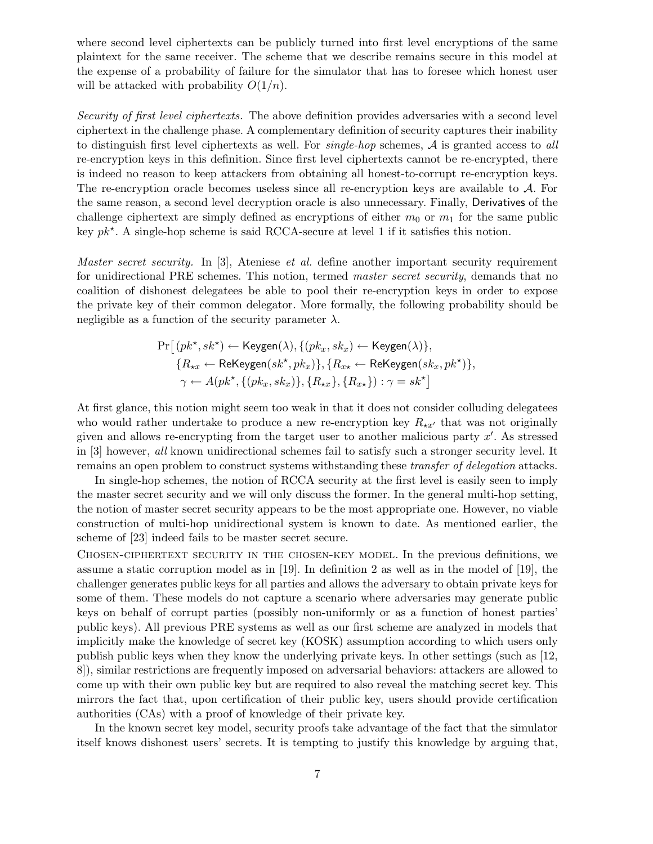where second level ciphertexts can be publicly turned into first level encryptions of the same plaintext for the same receiver. The scheme that we describe remains secure in this model at the expense of a probability of failure for the simulator that has to foresee which honest user will be attacked with probability  $O(1/n)$ .

Security of first level ciphertexts. The above definition provides adversaries with a second level ciphertext in the challenge phase. A complementary definition of security captures their inability to distinguish first level ciphertexts as well. For *single-hop* schemes,  $A$  is granted access to all re-encryption keys in this definition. Since first level ciphertexts cannot be re-encrypted, there is indeed no reason to keep attackers from obtaining all honest-to-corrupt re-encryption keys. The re-encryption oracle becomes useless since all re-encryption keys are available to A. For the same reason, a second level decryption oracle is also unnecessary. Finally, Derivatives of the challenge ciphertext are simply defined as encryptions of either  $m_0$  or  $m_1$  for the same public key  $pk^*$ . A single-hop scheme is said RCCA-secure at level 1 if it satisfies this notion.

Master secret security. In  $[3]$ , Ateniese et al. define another important security requirement for unidirectional PRE schemes. This notion, termed master secret security, demands that no coalition of dishonest delegatees be able to pool their re-encryption keys in order to expose the private key of their common delegator. More formally, the following probability should be negligible as a function of the security parameter  $\lambda$ .

$$
\Pr\big[\left(\mathit{pk}^\star,\mathit{sk}^\star\right)\leftarrow\mathsf{Keygen}(\lambda),\{(pk_x,\mathit{sk}_x)\leftarrow\mathsf{Keygen}(\lambda)\},\\\{R_{\star x}\leftarrow\mathsf{ReKeygen}(\mathit{sk}^\star,\mathit{pk}_x)\},\{R_{x\star}\leftarrow\mathsf{ReKeygen}(\mathit{sk}_x,\mathit{pk}^\star)\},\\\gamma\leftarrow A(\mathit{pk}^\star,\{(pk_x,\mathit{sk}_x)\},\{R_{\star x}\},\{R_{x\star}\}): \gamma=\mathit{sk}^\star\big]
$$

At first glance, this notion might seem too weak in that it does not consider colluding delegatees who would rather undertake to produce a new re-encryption key  $R_{\star x'}$  that was not originally given and allows re-encrypting from the target user to another malicious party  $x'$ . As stressed in [3] however, all known unidirectional schemes fail to satisfy such a stronger security level. It remains an open problem to construct systems withstanding these *transfer of delegation* attacks.

In single-hop schemes, the notion of RCCA security at the first level is easily seen to imply the master secret security and we will only discuss the former. In the general multi-hop setting, the notion of master secret security appears to be the most appropriate one. However, no viable construction of multi-hop unidirectional system is known to date. As mentioned earlier, the scheme of [23] indeed fails to be master secret secure.

Chosen-ciphertext security in the chosen-key model. In the previous definitions, we assume a static corruption model as in [19]. In definition 2 as well as in the model of [19], the challenger generates public keys for all parties and allows the adversary to obtain private keys for some of them. These models do not capture a scenario where adversaries may generate public keys on behalf of corrupt parties (possibly non-uniformly or as a function of honest parties' public keys). All previous PRE systems as well as our first scheme are analyzed in models that implicitly make the knowledge of secret key (KOSK) assumption according to which users only publish public keys when they know the underlying private keys. In other settings (such as [12, 8]), similar restrictions are frequently imposed on adversarial behaviors: attackers are allowed to come up with their own public key but are required to also reveal the matching secret key. This mirrors the fact that, upon certification of their public key, users should provide certification authorities (CAs) with a proof of knowledge of their private key.

In the known secret key model, security proofs take advantage of the fact that the simulator itself knows dishonest users' secrets. It is tempting to justify this knowledge by arguing that,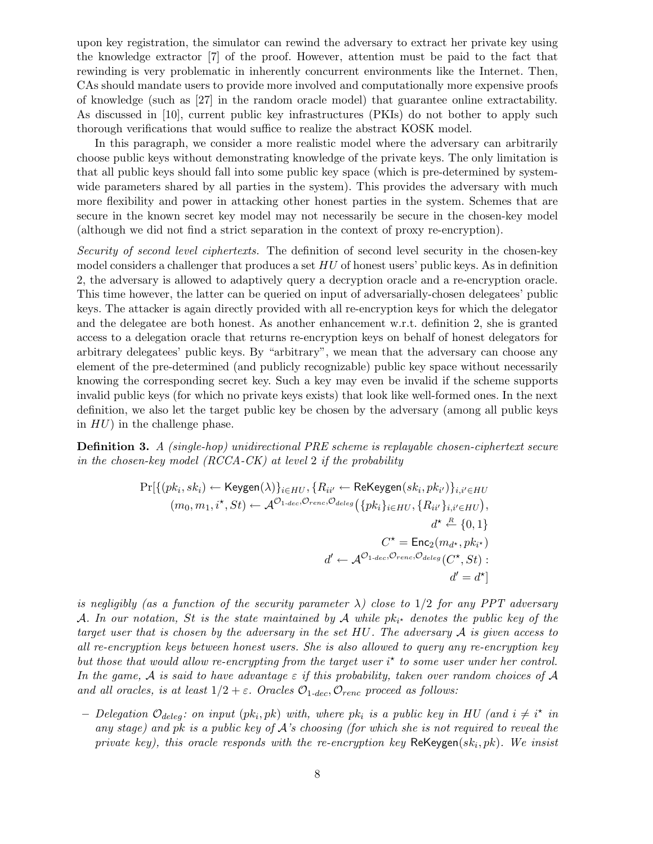upon key registration, the simulator can rewind the adversary to extract her private key using the knowledge extractor [7] of the proof. However, attention must be paid to the fact that rewinding is very problematic in inherently concurrent environments like the Internet. Then, CAs should mandate users to provide more involved and computationally more expensive proofs of knowledge (such as [27] in the random oracle model) that guarantee online extractability. As discussed in [10], current public key infrastructures (PKIs) do not bother to apply such thorough verifications that would suffice to realize the abstract KOSK model.

In this paragraph, we consider a more realistic model where the adversary can arbitrarily choose public keys without demonstrating knowledge of the private keys. The only limitation is that all public keys should fall into some public key space (which is pre-determined by systemwide parameters shared by all parties in the system). This provides the adversary with much more flexibility and power in attacking other honest parties in the system. Schemes that are secure in the known secret key model may not necessarily be secure in the chosen-key model (although we did not find a strict separation in the context of proxy re-encryption).

Security of second level ciphertexts. The definition of second level security in the chosen-key model considers a challenger that produces a set HU of honest users' public keys. As in definition 2, the adversary is allowed to adaptively query a decryption oracle and a re-encryption oracle. This time however, the latter can be queried on input of adversarially-chosen delegatees' public keys. The attacker is again directly provided with all re-encryption keys for which the delegator and the delegatee are both honest. As another enhancement w.r.t. definition 2, she is granted access to a delegation oracle that returns re-encryption keys on behalf of honest delegators for arbitrary delegatees' public keys. By "arbitrary", we mean that the adversary can choose any element of the pre-determined (and publicly recognizable) public key space without necessarily knowing the corresponding secret key. Such a key may even be invalid if the scheme supports invalid public keys (for which no private keys exists) that look like well-formed ones. In the next definition, we also let the target public key be chosen by the adversary (among all public keys in  $HU$ ) in the challenge phase.

Definition 3. A (single-hop) unidirectional PRE scheme is replayable chosen-ciphertext secure in the chosen-key model (RCCA-CK) at level 2 if the probability

$$
\Pr[\{(pk_i, sk_i) \leftarrow \text{Keygen}(\lambda)\}_{i \in HU}, \{R_{ii'} \leftarrow \text{ReKeygen}(sk_i, pk_{i'})\}_{i,i' \in HU}
$$

$$
(m_0, m_1, i^{\star}, St) \leftarrow \mathcal{A}^{\mathcal{O}_{1-dec}, \mathcal{O}_{renc}, \mathcal{O}_{deleg}}(\{pk_i\}_{i \in HU}, \{R_{ii'}\}_{i,i' \in HU}),
$$

$$
d^{\star} \stackrel{R}{\leftarrow} \{0, 1\}
$$

$$
C^{\star} = \text{Enc}_2(m_{d^{\star}}, pk_{i^{\star}})
$$

$$
d' \leftarrow \mathcal{A}^{\mathcal{O}_{1-dec}, \mathcal{O}_{renc}, \mathcal{O}_{deleg}(C^{\star}, St) : d' = d^{\star}]
$$

is negligibly (as a function of the security parameter  $\lambda$ ) close to 1/2 for any PPT adversary A. In our notation, St is the state maintained by A while  $pk_{i^{\star}}$  denotes the public key of the target user that is chosen by the adversary in the set HU. The adversary A is given access to all re-encryption keys between honest users. She is also allowed to query any re-encryption key but those that would allow re-encrypting from the target user  $i^*$  to some user under her control. In the game, A is said to have advantage  $\varepsilon$  if this probability, taken over random choices of A and all oracles, is at least  $1/2 + \varepsilon$ . Oracles  $\mathcal{O}_{1-dec}, \mathcal{O}_{renc}$  proceed as follows:

- Delegation  $\mathcal{O}_{deleg}$ : on input  $(pk_i, pk)$  with, where  $pk_i$  is a public key in HU (and  $i \neq i^*$  in any stage) and pk is a public key of A's choosing (for which she is not required to reveal the private key), this oracle responds with the re-encryption key  $\mathsf{ReKeygen}(sk_i, pk)$ . We insist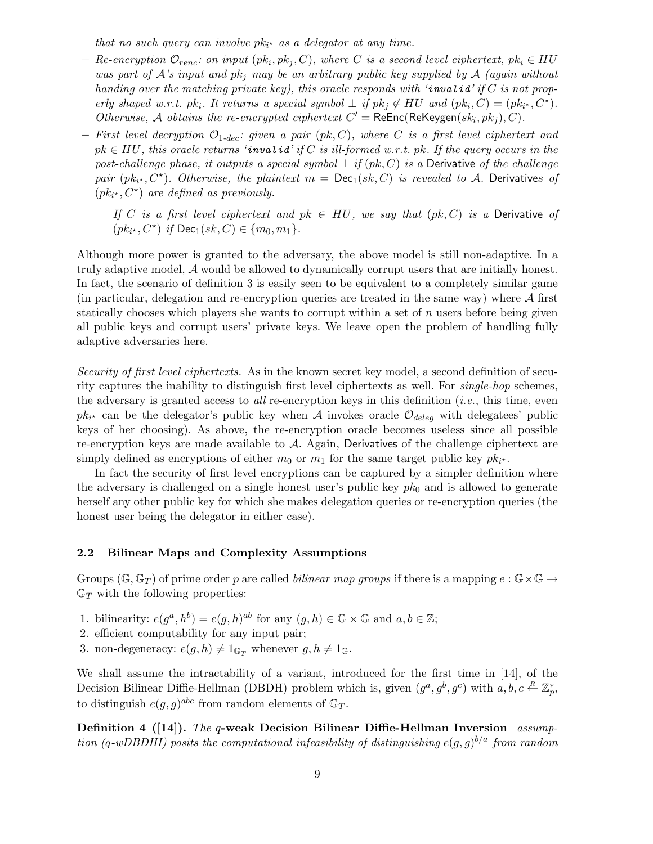that no such query can involve  $pk_{i^*}$  as a delegator at any time.

- $-$  Re-encryption  $\mathcal{O}_{renc}:$  on input  $(pk_i, pk_j, C)$ , where C is a second level ciphertext,  $pk_i \in HU$ was part of  $\mathcal{A}$ 's input and  $pk_j$  may be an arbitrary public key supplied by  $\mathcal{A}$  (again without handing over the matching private key), this oracle responds with 'invalid' if  $C$  is not properly shaped w.r.t. pk<sub>i</sub>. It returns a special symbol  $\perp$  if pk<sub>j</sub>  $\notin HU$  and  $(pk_i, C) = (pk_{i^*}, C^*)$ . Otherwise, A obtains the re-encrypted ciphertext  $C' = \text{ReEnc}(\text{ReKeygen}(sk_i, pk_j), C)$ .
- First level decryption  $\mathcal{O}_{1-dec}$ : given a pair (pk, C), where C is a first level ciphertext and  $pk \in HU$ , this oracle returns 'invalid' if C is ill-formed w.r.t. pk. If the query occurs in the post-challenge phase, it outputs a special symbol  $\perp$  if  $(pk, C)$  is a Derivative of the challenge pair  $(pk_{i^*}, C^*)$ . Otherwise, the plaintext  $m = \textsf{Dec}_1(sk, C)$  is revealed to A. Derivatives of  $(pk_{i^*}, C^*)$  are defined as previously.

If C is a first level ciphertext and  $pk \in HU$ , we say that  $(pk, C)$  is a Derivative of  $(pk_{i^*}, C^*)$  if  $\mathsf{Dec}_1(sk, C) \in \{m_0, m_1\}.$ 

Although more power is granted to the adversary, the above model is still non-adaptive. In a truly adaptive model, A would be allowed to dynamically corrupt users that are initially honest. In fact, the scenario of definition 3 is easily seen to be equivalent to a completely similar game (in particular, delegation and re-encryption queries are treated in the same way) where  $A$  first statically chooses which players she wants to corrupt within a set of  $n$  users before being given all public keys and corrupt users' private keys. We leave open the problem of handling fully adaptive adversaries here.

Security of first level ciphertexts. As in the known secret key model, a second definition of security captures the inability to distinguish first level ciphertexts as well. For single-hop schemes, the adversary is granted access to *all* re-encryption keys in this definition (*i.e.*, this time, even  $pk_{i^*}$  can be the delegator's public key when A invokes oracle  $\mathcal{O}_{deleg}$  with delegatees' public keys of her choosing). As above, the re-encryption oracle becomes useless since all possible re-encryption keys are made available to  $A$ . Again, Derivatives of the challenge ciphertext are simply defined as encryptions of either  $m_0$  or  $m_1$  for the same target public key  $pk_{i^*}$ .

In fact the security of first level encryptions can be captured by a simpler definition where the adversary is challenged on a single honest user's public key  $pk_0$  and is allowed to generate herself any other public key for which she makes delegation queries or re-encryption queries (the honest user being the delegator in either case).

# 2.2 Bilinear Maps and Complexity Assumptions

Groups ( $\mathbb{G}, \mathbb{G}_T$ ) of prime order p are called *bilinear map groups* if there is a mapping  $e : \mathbb{G} \times \mathbb{G} \to$  $\mathbb{G}_T$  with the following properties:

- 1. bilinearity:  $e(g^a, h^b) = e(g, h)^{ab}$  for any  $(g, h) \in \mathbb{G} \times \mathbb{G}$  and  $a, b \in \mathbb{Z}$ ;
- 2. efficient computability for any input pair;
- 3. non-degeneracy:  $e(g, h) \neq 1_{\mathbb{G}_T}$  whenever  $g, h \neq 1_{\mathbb{G}}$ .

We shall assume the intractability of a variant, introduced for the first time in [14], of the Decision Bilinear Diffie-Hellman (DBDH) problem which is, given  $(g^a, g^b, g^c)$  with  $a, b, c \stackrel{R}{\leftarrow} \mathbb{Z}_p^*$ , to distinguish  $e(g, g)^{abc}$  from random elements of  $\mathbb{G}_T$ .

Definition 4 ([14]). The q-weak Decision Bilinear Diffie-Hellman Inversion assumption (q-wDBDHI) posits the computational infeasibility of distinguishing  $e(g, g)^{b/a}$  from random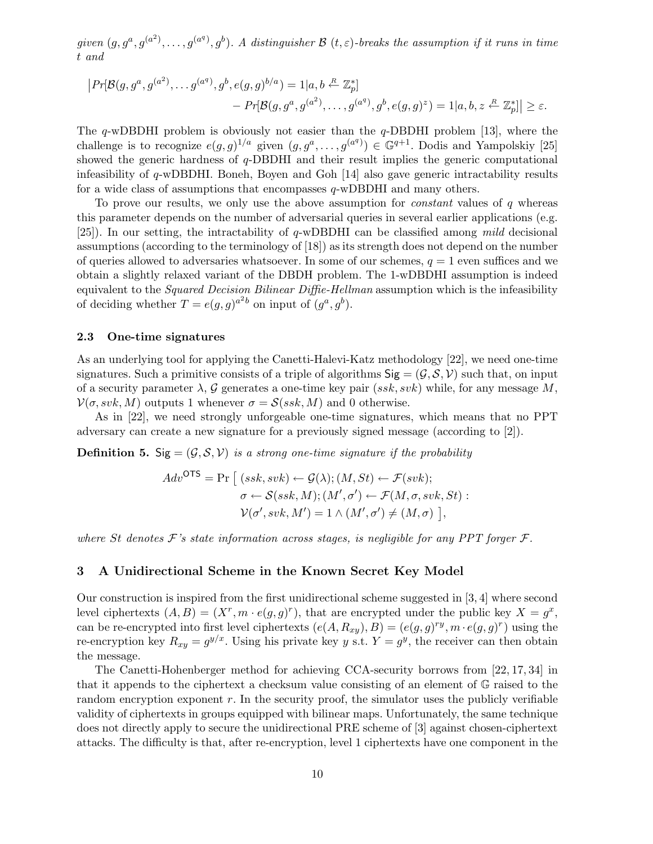given  $(g, g^a, g^{(a^2)}, \ldots, g^{(a^q)}, g^b)$ . A distinguisher  $\mathcal B$   $(t, \varepsilon)$ -breaks the assumption if it runs in time t and

$$
\begin{aligned} \left| Pr[\mathcal{B}(g, g^a, g^{(a^2)}, \dots g^{(a^q)}, g^b, e(g, g)^{b/a}) = 1|a, b \stackrel{R}{\leftarrow} \mathbb{Z}_p^*] \\ &- Pr[\mathcal{B}(g, g^a, g^{(a^2)}, \dots, g^{(a^q)}, g^b, e(g, g)^z) = 1|a, b, z \stackrel{R}{\leftarrow} \mathbb{Z}_p^*] \right| \ge \varepsilon. \end{aligned}
$$

The q-wDBDHI problem is obviously not easier than the  $q$ -DBDHI problem [13], where the challenge is to recognize  $e(g, g)^{1/a}$  given  $(g, g^a, \ldots, g^{(a^q)}) \in \mathbb{G}^{q+1}$ . Dodis and Yampolskiy [25] showed the generic hardness of  $q$ -DBDHI and their result implies the generic computational infeasibility of q-wDBDHI. Boneh, Boyen and Goh [14] also gave generic intractability results for a wide class of assumptions that encompasses q-wDBDHI and many others.

To prove our results, we only use the above assumption for *constant* values of q whereas this parameter depends on the number of adversarial queries in several earlier applications (e.g. [25]). In our setting, the intractability of  $q$ -wDBDHI can be classified among *mild* decisional assumptions (according to the terminology of [18]) as its strength does not depend on the number of queries allowed to adversaries whatsoever. In some of our schemes,  $q = 1$  even suffices and we obtain a slightly relaxed variant of the DBDH problem. The 1-wDBDHI assumption is indeed equivalent to the *Squared Decision Bilinear Diffie-Hellman* assumption which is the infeasibility of deciding whether  $T = e(g, g)^{a^2 b}$  on input of  $(g^a, g^b)$ .

#### 2.3 One-time signatures

As an underlying tool for applying the Canetti-Halevi-Katz methodology [22], we need one-time signatures. Such a primitive consists of a triple of algorithms  $\text{Sig} = (\mathcal{G}, \mathcal{S}, \mathcal{V})$  such that, on input of a security parameter  $\lambda$ , G generates a one-time key pair  $(ssk, svk)$  while, for any message M,  $V(\sigma, svk, M)$  outputs 1 whenever  $\sigma = \mathcal{S}(ssk, M)$  and 0 otherwise.

As in [22], we need strongly unforgeable one-time signatures, which means that no PPT adversary can create a new signature for a previously signed message (according to [2]).

**Definition 5.** Sig =  $(\mathcal{G}, \mathcal{S}, \mathcal{V})$  is a strong one-time signature if the probability

$$
Adv^{\text{OTS}} = \Pr \left[ (ssk, svk) \leftarrow \mathcal{G}(\lambda); (M, St) \leftarrow \mathcal{F}(svk);
$$

$$
\sigma \leftarrow \mathcal{S}(ssk, M); (M', \sigma') \leftarrow \mathcal{F}(M, \sigma, svk, St) :
$$

$$
\mathcal{V}(\sigma', svk, M') = 1 \wedge (M', \sigma') \neq (M, \sigma) \right),
$$

where St denotes  $\mathcal F$ 's state information across stages, is negligible for any PPT forger  $\mathcal F$ .

## 3 A Unidirectional Scheme in the Known Secret Key Model

Our construction is inspired from the first unidirectional scheme suggested in [3, 4] where second level ciphertexts  $(A, B) = (X^r, m \cdot e(g, g)^r)$ , that are encrypted under the public key  $X = g^x$ , can be re-encrypted into first level ciphertexts  $(e(A, R_{xy}), B) = (e(g, g)^{ry}, m \cdot e(g, g)^{r})$  using the re-encryption key  $R_{xy} = g^{y/x}$ . Using his private key y s.t.  $Y = g^y$ , the receiver can then obtain the message.

The Canetti-Hohenberger method for achieving CCA-security borrows from [22, 17, 34] in that it appends to the ciphertext a checksum value consisting of an element of G raised to the random encryption exponent r. In the security proof, the simulator uses the publicly verifiable validity of ciphertexts in groups equipped with bilinear maps. Unfortunately, the same technique does not directly apply to secure the unidirectional PRE scheme of [3] against chosen-ciphertext attacks. The difficulty is that, after re-encryption, level 1 ciphertexts have one component in the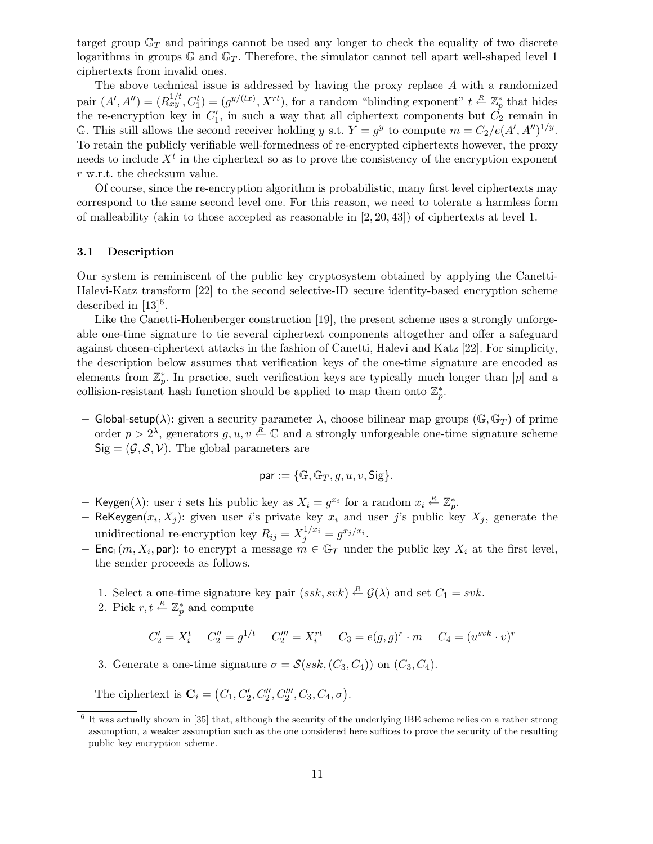target group  $\mathbb{G}_T$  and pairings cannot be used any longer to check the equality of two discrete logarithms in groups  $\mathbb{G}$  and  $\mathbb{G}_T$ . Therefore, the simulator cannot tell apart well-shaped level 1 ciphertexts from invalid ones.

The above technical issue is addressed by having the proxy replace  $A$  with a randomized pair  $(A', A'') = (R_{xy}^{1/t}, C_1^t) = (g^{y/(tx)}, X^{rt})$ , for a random "blinding exponent"  $t \stackrel{R}{\leftarrow} \mathbb{Z}_p^*$  $_{p}^{*}$  that hides the re-encryption key in  $C_1'$  $I_1'$ , in such a way that all ciphertext components but  $C_2$  remain in G. This still allows the second receiver holding y s.t.  $Y = g^y$  to compute  $m = C_2/e(A', A'')^{1/y}$ . To retain the publicly verifiable well-formedness of re-encrypted ciphertexts however, the proxy needs to include  $X<sup>t</sup>$  in the ciphertext so as to prove the consistency of the encryption exponent r w.r.t. the checksum value.

Of course, since the re-encryption algorithm is probabilistic, many first level ciphertexts may correspond to the same second level one. For this reason, we need to tolerate a harmless form of malleability (akin to those accepted as reasonable in [2, 20, 43]) of ciphertexts at level 1.

## 3.1 Description

Our system is reminiscent of the public key cryptosystem obtained by applying the Canetti-Halevi-Katz transform [22] to the second selective-ID secure identity-based encryption scheme described in  $[13]^{6}$ .

Like the Canetti-Hohenberger construction [19], the present scheme uses a strongly unforgeable one-time signature to tie several ciphertext components altogether and offer a safeguard against chosen-ciphertext attacks in the fashion of Canetti, Halevi and Katz [22]. For simplicity, the description below assumes that verification keys of the one-time signature are encoded as elements from  $\mathbb{Z}_p^*$  $_{p}^{*}$ . In practice, such verification keys are typically much longer than  $|p|$  and a collision-resistant hash function should be applied to map them onto  $\mathbb{Z}_p^*$  $_{p}^{\ast}$ .

– Global-setup(λ): given a security parameter  $\lambda$ , choose bilinear map groups ( $\mathbb{G}, \mathbb{G}_T$ ) of prime order  $p > 2^{\lambda}$ , generators  $g, u, v \stackrel{R}{\leftarrow} \mathbb{G}$  and a strongly unforgeable one-time signature scheme  $Sig = (G, S, V)$ . The global parameters are

$$
\mathsf{par} := \{\mathbb{G}, \mathbb{G}_T, g, u, v, \mathsf{Sig}\}.
$$

- Keygen( $\lambda$ ): user *i* sets his public key as  $X_i = g^{x_i}$  for a random  $x_i \stackrel{R}{\leftarrow} \mathbb{Z}_p^*$  $_{p}^{\ast}$ .
- ReKeygen $(x_i, X_j)$ : given user i's private key  $x_i$  and user j's public key  $X_j$ , generate the unidirectional re-encryption key  $R_{ij} = X_j^{1/x_i} = g^{x_j/x_i}$ .
- Enc<sub>1</sub> $(m, X_i, \text{par})$ : to encrypt a message  $m \in \mathbb{G}_T$  under the public key  $X_i$  at the first level, the sender proceeds as follows.
	- 1. Select a one-time signature key pair  $(ssk, svk) \stackrel{R}{\leftarrow} \mathcal{G}(\lambda)$  and set  $C_1 = svk$ .
	- 2. Pick  $r, t \stackrel{R}{\leftarrow} \mathbb{Z}_p^*$  $_{p}^{\ast}$  and compute

$$
C_2' = X_i^t \t C_2'' = g^{1/t} \t C_2''' = X_i^{rt} \t C_3 = e(g, g)^r \cdot m \t C_4 = (u^{svk} \cdot v)^r
$$

3. Generate a one-time signature  $\sigma = \mathcal{S}(ssk, (C_3, C_4))$  on  $(C_3, C_4)$ .

The ciphertext is  $C_i = (C_1, C'_2, C''_2, C'''_2, C_3, C_4, \sigma)$ .

<sup>&</sup>lt;sup>6</sup> It was actually shown in [35] that, although the security of the underlying IBE scheme relies on a rather strong assumption, a weaker assumption such as the one considered here suffices to prove the security of the resulting public key encryption scheme.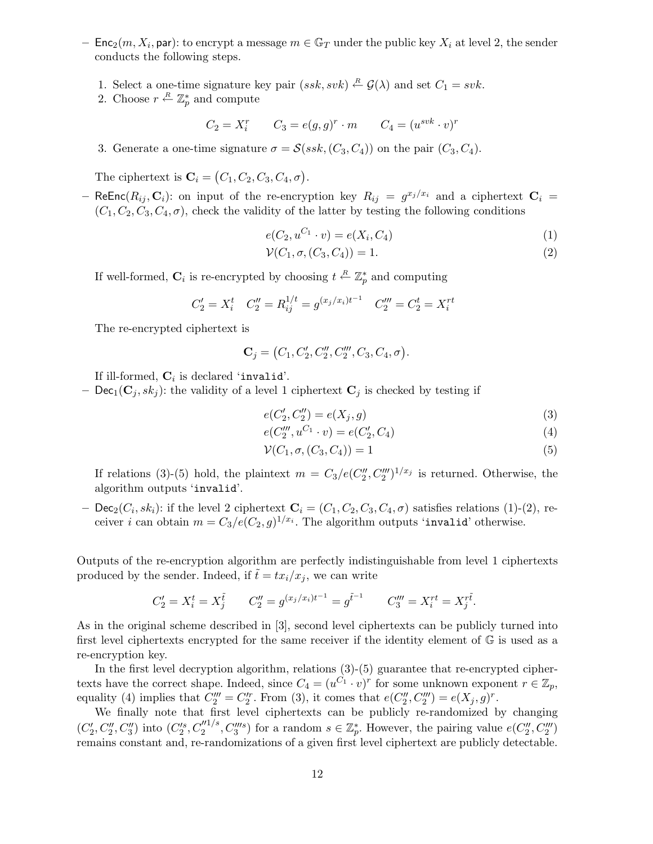- Enc<sub>2</sub> $(m, X_i, \text{par})$ : to encrypt a message  $m \in \mathbb{G}_T$  under the public key  $X_i$  at level 2, the sender conducts the following steps.
	- 1. Select a one-time signature key pair  $(ssk, svk) \stackrel{R}{\leftarrow} \mathcal{G}(\lambda)$  and set  $C_1 = svk$ .
	- 2. Choose  $r \stackrel{R}{\leftarrow} \mathbb{Z}_p^*$  $_{p}^{*}$  and compute

$$
C_2 = X_i^r \qquad C_3 = e(g, g)^r \cdot m \qquad C_4 = (u^{svk} \cdot v)^r
$$

3. Generate a one-time signature  $\sigma = \mathcal{S}(ssk, (C_3, C_4))$  on the pair  $(C_3, C_4)$ .

The ciphertext is  $\mathbf{C}_i = (C_1, C_2, C_3, C_4, \sigma)$ .

- ReEnc $(R_{ij}, \mathbf{C}_i)$ : on input of the re-encryption key  $R_{ij} = g^{x_j/x_i}$  and a ciphertext  $\mathbf{C}_i$  =  $(C_1, C_2, C_3, C_4, \sigma)$ , check the validity of the latter by testing the following conditions

$$
e(C_2, u^{C_1} \cdot v) = e(X_i, C_4)
$$
\n(1)

$$
\mathcal{V}(C_1, \sigma, (C_3, C_4)) = 1. \tag{2}
$$

If well-formed,  $\mathbf{C}_i$  is re-encrypted by choosing  $t \stackrel{R}{\leftarrow} \mathbb{Z}_p^*$  and computing

$$
C_2' = X_i^t \t C_2'' = R_{ij}^{1/t} = g^{(x_j/x_i)t^{-1}} \t C_2''' = C_2^t = X_i^{rt}
$$

The re-encrypted ciphertext is

$$
C_j = (C_1, C'_2, C''_2, C'''_2, C_3, C_4, \sigma).
$$

If ill-formed,  $\mathbf{C}_i$  is declared 'invalid'.

– Dec<sub>1</sub>( $\mathbf{C}_j$ ,  $sk_j$ ): the validity of a level 1 ciphertext  $\mathbf{C}_j$  is checked by testing if

$$
e(C'_2, C''_2) = e(X_j, g) \tag{3}
$$

$$
e(C_2'''', u^{C_1} \cdot v) = e(C_2', C_4)
$$
\n<sup>(4)</sup>

$$
\mathcal{V}(C_1, \sigma, (C_3, C_4)) = 1\tag{5}
$$

If relations (3)-(5) hold, the plaintext  $m = C_3/e(C_2'')$  $2^{\prime\prime}$ ,  $C_2^{\prime\prime\prime}$ )<sup>1/x<sub>j</sub></sup> is returned. Otherwise, the algorithm outputs 'invalid'.

 $-$  Dec<sub>2</sub>( $C_i, sk_i$ ): if the level 2 ciphertext  $\mathbf{C}_i = (C_1, C_2, C_3, C_4, \sigma)$  satisfies relations (1)-(2), receiver *i* can obtain  $m = C_3/e(C_2, g)^{1/x_i}$ . The algorithm outputs 'invalid' otherwise.

Outputs of the re-encryption algorithm are perfectly indistinguishable from level 1 ciphertexts produced by the sender. Indeed, if  $\tilde{t} = tx_i/x_j$ , we can write

$$
C_2' = X_i^t = X_j^{\tilde{t}} \qquad C_2'' = g^{(x_j/x_i)t^{-1}} = g^{\tilde{t}^{-1}} \qquad C_3''' = X_i^{rt} = X_j^{r\tilde{t}}.
$$

As in the original scheme described in [3], second level ciphertexts can be publicly turned into first level ciphertexts encrypted for the same receiver if the identity element of G is used as a re-encryption key.

In the first level decryption algorithm, relations  $(3)-(5)$  guarantee that re-encrypted ciphertexts have the correct shape. Indeed, since  $C_4 = (u^{C_1} \cdot v)^r$  for some unknown exponent  $r \in \mathbb{Z}_p$ , equality (4) implies that  $C_2''' = C_2'^r$ . From (3), it comes that  $e(C_2'')$  $e''_2, C''_2$ ) =  $e(X_j, g)^r$ .

We finally note that first level ciphertexts can be publicly re-randomized by changing  $\overline{(C'_2)}$  $C''_2, C''_3, C''_3$  into  $(C'^s_2, C''^{1/s}_2, C'''^{s})$  for a random  $s \in \mathbb{Z}_p^*$ \*, However, the pairing value  $e(C_2'')$  $_{2}^{\prime \prime },C_{2}^{\prime \prime \prime })$ remains constant and, re-randomizations of a given first level ciphertext are publicly detectable.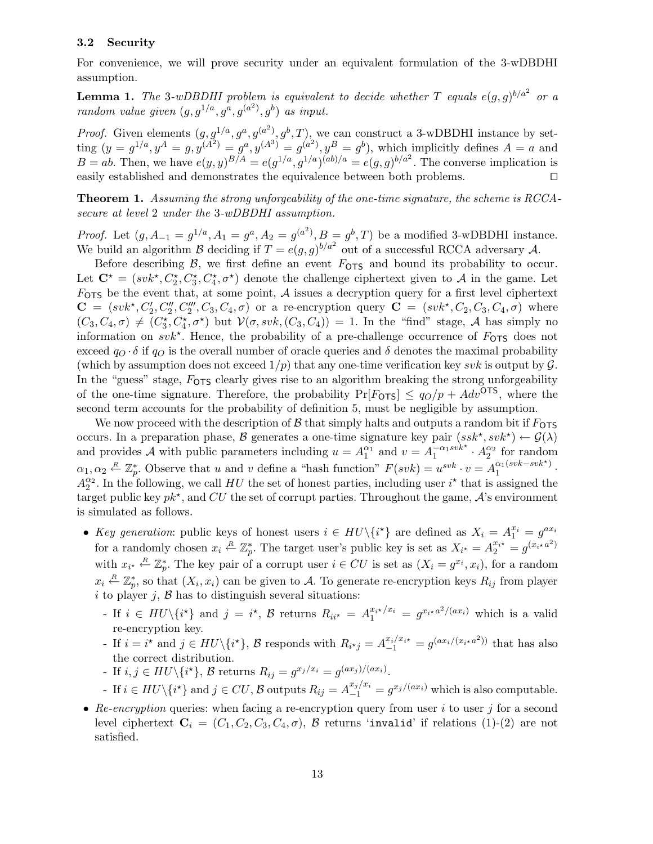## 3.2 Security

For convenience, we will prove security under an equivalent formulation of the 3-wDBDHI assumption.

**Lemma 1.** The 3-wDBDHI problem is equivalent to decide whether T equals  $e(g, g)^{b/a^2}$  or a random value given  $(g, g^{1/a}, g^a, g^{(a^2)}, g^b)$  as input.

*Proof.* Given elements  $(g, g^{1/a}, g^a, g^{(a^2)}, g^b, T)$ , we can construct a 3-wDBDHI instance by setting  $(y = g^{1/a}, y^A = g, y^{(A^2)} = g^a, y^{(A^3)} = g^{(a^2)}, y^B = g^b)$ , which implicitly defines  $A = a$  and  $B = ab$ . Then, we have  $e(y, y)^{B/A} = e(g^{1/a}, g^{1/a})^{(ab)/a} = e(g, g)^{b/a^2}$ . The converse implication is easily established and demonstrates the equivalence between both problems. ⊓⊔

Theorem 1. Assuming the strong unforgeability of the one-time signature, the scheme is RCCAsecure at level 2 under the 3-wDBDHI assumption.

*Proof.* Let  $(g, A_{-1} = g^{1/a}, A_1 = g^a, A_2 = g^{(a^2)}, B = g^b, T$  be a modified 3-wDBDHI instance. We build an algorithm B deciding if  $T = e(g, g)^{b/a^2}$  out of a successful RCCA adversary A.

Before describing  $\beta$ , we first define an event  $F_{\text{OTS}}$  and bound its probability to occur. Let  $\mathbf{C}^* = (svk^*, C_2^*, C_3^*, C_4^*, \sigma^*)$  denote the challenge ciphertext given to A in the game. Let  $F_{\text{OTS}}$  be the event that, at some point, A issues a decryption query for a first level ciphertext  $\mathbf{C} = (svk^*, C'_2, C''_2, C'''_2, C_3, C_4, \sigma)$  or a re-encryption query  $\mathbf{C} = (svk^*, C_2, C_3, C_4, \sigma)$  where  $(C_3, C_4, \sigma) \neq (C_3^*, C_4^*, \sigma^*)$  but  $\mathcal{V}(\sigma, svk, (C_3, C_4)) = 1$ . In the "find" stage, A has simply no information on  $svk^*$ . Hence, the probability of a pre-challenge occurrence of  $F_{\text{OTS}}$  does not exceed  $q_O \cdot \delta$  if  $q_O$  is the overall number of oracle queries and  $\delta$  denotes the maximal probability (which by assumption does not exceed  $1/p$ ) that any one-time verification key svk is output by  $\mathcal G$ . In the "guess" stage,  $F_{\text{OTS}}$  clearly gives rise to an algorithm breaking the strong unforgeability of the one-time signature. Therefore, the probability  $Pr[F_{\text{OTS}}] \leq q_O/p + Adv^{\text{OTS}}$ , where the second term accounts for the probability of definition 5, must be negligible by assumption.

We now proceed with the description of  $\beta$  that simply halts and outputs a random bit if  $F_{\text{OTS}}$ occurs. In a preparation phase, B generates a one-time signature key pair  $(ssk^*, svk^*) \leftarrow \mathcal{G}(\lambda)$ and provides A with public parameters including  $u = A_1^{\alpha_1}$  and  $v = A_1^{-\alpha_1 s v k^*} \cdot A_2^{\alpha_2}$  for random  $\alpha_1, \alpha_2 \overset{R}{\leftarrow} \mathbb{Z}_p^*$ \*. Observe that u and v define a "hash function"  $F(svk) = u^{svk} \cdot v = A_1^{\alpha_1(svk - svk^*)}$  $\frac{\alpha_1(sv\kappa - sv\kappa)}{1}$ .  $A_2^{\alpha_2}$ . In the following, we call HU the set of honest parties, including user  $i^*$  that is assigned the target public key  $pk^*$ , and CU the set of corrupt parties. Throughout the game,  $A$ 's environment is simulated as follows.

- Key generation: public keys of honest users  $i \in HU \setminus \{i^{\star}\}\$ are defined as  $X_i = A_1^{x_i} = g^{ax_i}$ for a randomly chosen  $x_i \stackrel{R}{\leftarrow} \mathbb{Z}_p^*$ . The target user's public key is set as  $X_{i^*} = A_2^{x_{i^*}} = g^{(x_i \star a^2)}$ with  $x_{i^*} \stackrel{R}{\leftarrow} \mathbb{Z}_p^*$ \*. The key pair of a corrupt user  $i \in CU$  is set as  $(X_i = g^{x_i}, x_i)$ , for a random  $x_i \stackrel{R}{\leftarrow} \mathbb{Z}_p^*$ \*, so that  $(X_i, x_i)$  can be given to A. To generate re-encryption keys  $R_{ij}$  from player i to player j,  $\beta$  has to distinguish several situations:
	- If  $i \in H\mathbb{U}\backslash\{i^*\}$  and  $j = i^*$ ,  $\mathcal{B}$  returns  $R_{ii^*} = A_1^{x_{i^*}/x_i} = g^{x_{i^*}a^2/(ax_i)}$  which is a valid re-encryption key.
	- If  $i = i^*$  and  $j ∈ HU \setminus \{i^* \}, \mathcal{B}$  responds with  $R_{i^*j} = A_{-1}^{x_i/x_i*} = g^{(ax_i/(x_i*a^2))}$  that has also the correct distribution.
	- If  $i, j \in HU \setminus \{i^{\star}\}, \mathcal{B}$  returns  $R_{ij} = g^{x_j/x_i} = g^{(ax_j)/(ax_i)}$ .
	- $-$  If  $i ∈ HU \setminus {i<sup>*</sup>}$  and  $j ∈ CU$ , B outputs  $R_{ij} = A_{-1}^{x_j/x_i} = g^{x_j/(ax_i)}$  which is also computable.
- Re-encryption queries: when facing a re-encryption query from user  $i$  to user  $j$  for a second level ciphertext  $C_i = (C_1, C_2, C_3, C_4, \sigma)$ , B returns 'invalid' if relations (1)-(2) are not satisfied.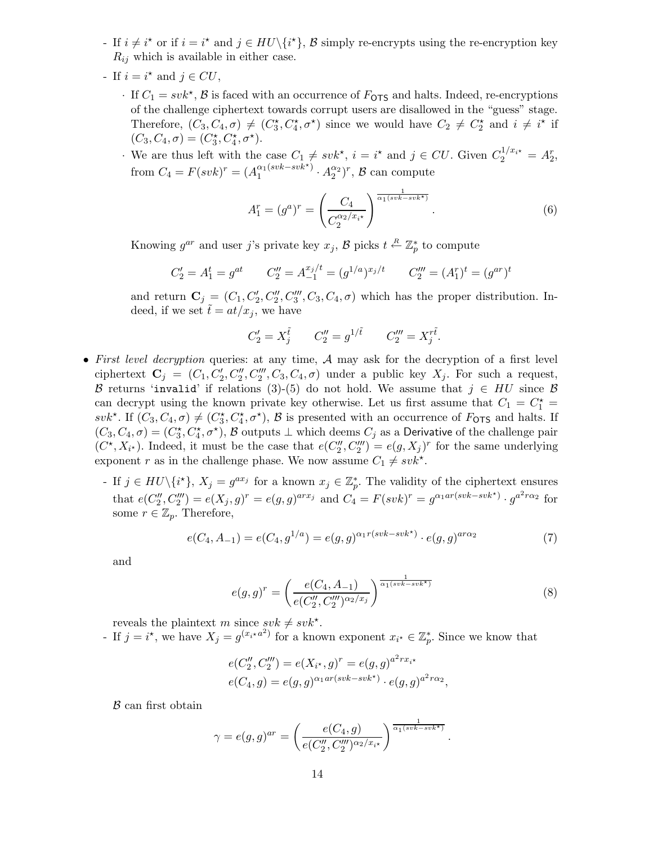- For if  $i \neq i^*$  or if  $i = i^*$  and  $j \in HU \setminus \{i^*\}, \mathcal{B}$  simply re-encryption set the re-encryption key  $R_{ij}$  which is available in either case.
- If  $i = i^*$  and  $j \in CU$ ,
	- $\cdot$  If  $C_1 = svk^*$ ,  $\beta$  is faced with an occurrence of  $F_{\text{OTS}}$  and halts. Indeed, re-encryptions of the challenge ciphertext towards corrupt users are disallowed in the "guess" stage. Therefore,  $(C_3, C_4, \sigma) \neq (C_3^*, C_4^*, \sigma^*)$  since we would have  $C_2 \neq C_2^*$  and  $i \neq i^*$  if  $(C_3, C_4, \sigma) = (C_3^{\star}, C_4^{\star}, \sigma^{\star}).$
	- We are thus left with the case  $C_1 \neq svk^*$ ,  $i = i^*$  and  $j \in CU$ . Given  $C_2^{1/x_{i^*}} = A_2^r$ , from  $C_4 = F(svk)^r = (A_1^{\alpha_1(svk - svk^*)})$  $A_1^{(\textit{svk}-\textit{svk}^{\star})} \cdot A_2^{\alpha_2})^r$ ,  ${\cal B}$  can compute

$$
A_1^r = (g^a)^r = \left(\frac{C_4}{C_2^{\alpha_2/x_{i\star}}}\right)^{\frac{1}{\alpha_1(svk - svk^{\star})}}.
$$
 (6)

Knowing  $g^{ar}$  and user j's private key  $x_j$ ,  $\mathcal{B}$  picks  $t \stackrel{R}{\leftarrow} \mathbb{Z}_p^*$  to compute

$$
C_2' = A_1^t = g^{at} \qquad C_2'' = A_{-1}^{x_j/t} = (g^{1/a})^{x_j/t} \qquad C_2''' = (A_1^r)^t = (g^{ar})^t
$$

and return  $\mathbf{C}_j = (C_1, C'_2, C''_3, C_3, C_4, \sigma)$  which has the proper distribution. Indeed, if we set  $\tilde{t} = at/x_i$ , we have

$$
C_2' = X_j^{\tilde{t}}
$$
  $C_2'' = g^{1/\tilde{t}}$   $C_2''' = X_j^{r\tilde{t}}$ .

- First level decryption queries: at any time, A may ask for the decryption of a first level ciphertext  $\mathbf{C}_j = (C_1, C'_2, C''_2, C'''_3, C_3, C_4, \sigma)$  under a public key  $X_j$ . For such a request, B returns 'invalid' if relations (3)-(5) do not hold. We assume that  $j \in HU$  since B can decrypt using the known private key otherwise. Let us first assume that  $C_1 = C_1^* =$ svk<sup>\*</sup>. If  $(C_3, C_4, \sigma) \neq (C_3^*, C_4^*, \sigma^*)$ ,  $\beta$  is presented with an occurrence of  $F_{\text{OTS}}$  and halts. If  $(C_3, C_4, \sigma) = (C_3^*, C_4^*, \sigma^*)$ , B outputs  $\perp$  which deems  $C_j$  as a Derivative of the challenge pair  $(C^*, X_{i^*})$ . Indeed, it must be the case that  $e(C''_2)$  $\binom{n}{2}$ ,  $C_2''''$  =  $e(g, X_j)^r$  for the same underlying exponent r as in the challenge phase. We now assume  $C_1 \neq svk^*$ .
	- If  $j \in HU \backslash \{i^{\star}\}, X_j = g^{ax_j}$  for a known  $x_j \in \mathbb{Z}_p^*$ p . The validity of the ciphertext ensures that  $e(C_2'$  $Z''_2, C'''_2$ ) =  $e(X_j, g)^r = e(g, g)^{arx_j}$  and  $C_4 = F(svk)^r = g^{\alpha_1 ar(svk - svk^*)} \cdot g^{a^2r\alpha_2}$  for some  $r \in \mathbb{Z}_p$ . Therefore,

$$
e(C_4, A_{-1}) = e(C_4, g^{1/a}) = e(g, g)^{\alpha_1 r (svk - svk^*)} \cdot e(g, g)^{ar\alpha_2}
$$
\n(7)

and

$$
e(g,g)^r = \left(\frac{e(C_4, A_{-1})}{e(C_2'', C_2''')^{\alpha_2/x_j}}\right)^{\frac{1}{\alpha_1(svk - svk^*)}}
$$
(8)

.

reveals the plaintext m since  $s v k \neq s v k^*$ .

- If  $j = i^*$ , we have  $X_j = g^{(x_i \star a^2)}$  for a known exponent  $x_{i^*} \in \mathbb{Z}_p^*$ . Since we know that

$$
e(C_2'', C_2''') = e(X_{i^*}, g)^r = e(g, g)^{a^2 r x_{i^*}}
$$
  

$$
e(C_4, g) = e(g, g)^{\alpha_1 ar(svk - svk^*)} \cdot e(g, g)^{a^2 r \alpha_2},
$$

 $B$  can first obtain

$$
\gamma = e(g, g)^{ar} = \left(\frac{e(C_4, g)}{e(C_2'', C_2''')^{\alpha_2/x_{i^{\star}}}}\right)^{\frac{1}{\alpha_1(svk - svk^{\star})}}
$$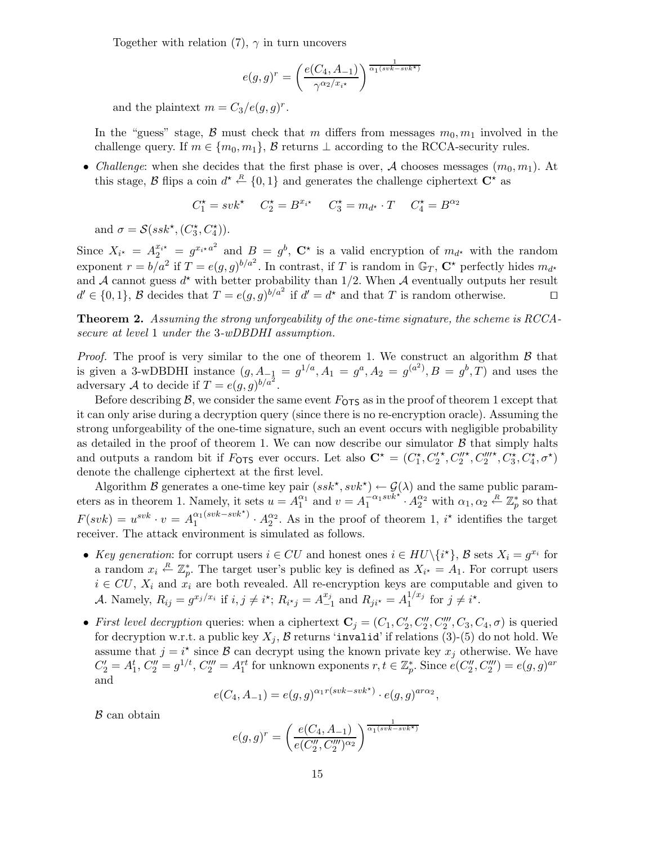Together with relation (7),  $\gamma$  in turn uncovers

$$
e(g,g)^r = \left(\frac{e(C_4, A_{-1})}{\gamma^{\alpha_2/x_{i^{\star}}}}\right)^{\frac{1}{\alpha_1(svk - svk^{\star})}}
$$

and the plaintext  $m = C_3/e(g, g)^r$ .

In the "guess" stage, B must check that m differs from messages  $m_0, m_1$  involved in the challenge query. If  $m \in \{m_0, m_1\}$ ,  $\beta$  returns  $\bot$  according to the RCCA-security rules.

• Challenge: when she decides that the first phase is over, A chooses messages  $(m_0, m_1)$ . At this stage, B flips a coin  $d^* \stackrel{R}{\leftarrow} \{0,1\}$  and generates the challenge ciphertext  $\mathbf{C}^*$  as

$$
C_1^* = s v k^* \quad C_2^* = B^{x_{i^*}} \quad C_3^* = m_{d^*} \cdot T \quad C_4^* = B^{\alpha_2}
$$

and  $\sigma = \mathcal{S}(ssk^{\star}, (C_3^{\star}, C_4^{\star}))$ .

Since  $X_{i^*} = A_2^{x_{i^*}} = g^{x_{i^*}a^2}$  and  $B = g^b$ ,  $\mathbb{C}^*$  is a valid encryption of  $m_{d^*}$  with the random exponent  $r = b/a^2$  if  $T = e(g, g)^{b/a^2}$ . In contrast, if T is random in  $\mathbb{G}_T$ ,  $\mathbb{C}^*$  perfectly hides  $m_{d^*}$ and A cannot guess  $d^*$  with better probability than 1/2. When A eventually outputs her result  $d' \in \{0,1\}, \mathcal{B}$  decides that  $T = e(g,g)^{b/a^2}$  if  $d' = d^*$  and that T is random otherwise. □

Theorem 2. Assuming the strong unforgeability of the one-time signature, the scheme is RCCAsecure at level 1 under the 3-wDBDHI assumption.

*Proof.* The proof is very similar to the one of theorem 1. We construct an algorithm  $\beta$  that is given a 3-wDBDHI instance  $(g, A_{-\frac{1}{2}} = g^{1/a}, A_1 = g^a, A_2 = g^{(a^2)}, B = g^b, T)$  and uses the adversary A to decide if  $T = e(g, g)^{b/a^2}$ .

Before describing  $\beta$ , we consider the same event  $F_{\text{OTS}}$  as in the proof of theorem 1 except that it can only arise during a decryption query (since there is no re-encryption oracle). Assuming the strong unforgeability of the one-time signature, such an event occurs with negligible probability as detailed in the proof of theorem 1. We can now describe our simulator  $\beta$  that simply halts and outputs a random bit if  $F_{\text{OTS}}$  ever occurs. Let also  $\mathbf{C}^{\star} = (C_1^{\star}, C_2^{\prime})$  $^{\star}, C''_2$  $^{\star}, C_2'''$  $^{\star}, C_{3}^{\star}, C_{4}^{\star}, \sigma^{\star})$ denote the challenge ciphertext at the first level.

Algorithm B generates a one-time key pair  $(ssk^*, svk^*) \leftarrow \mathcal{G}(\lambda)$  and the same public parameters as in theorem 1. Namely, it sets  $u = A_1^{\alpha_1}$  and  $v = A_1^{-\alpha_1 s v k^*} \cdot A_2^{\alpha_2}$  with  $\alpha_1, \alpha_2 \stackrel{R}{\leftarrow} \mathbb{Z}_p^*$  $_{p}^{*}$  so that  $F(svk) = u^{svk} \cdot v = A_1^{\alpha_1(svk - svk^*)}$  $A_1^{(\alpha_1(\text{svk}-\text{svk}^*))} \cdot A_2^{\alpha_2}$ . As in the proof of theorem 1, i<sup>\*</sup> identifies the target receiver. The attack environment is simulated as follows.

- Key generation: for corrupt users  $i \in CU$  and honest ones  $i \in HU \setminus \{i^*\}, \mathcal{B}$  sets  $X_i = g^{x_i}$  for a random  $x_i \stackrel{R}{\leftarrow} \mathbb{Z}_p^*$ . The target user's public key is defined as  $X_{i^*} = A_1$ . For corrupt users  $i \in CU$ ,  $X_i$  and  $x_i$  are both revealed. All re-encryption keys are computable and given to A. Namely,  $R_{ij} = g^{x_j/x_i}$  if  $i, j \neq i^{\star}$ ;  $R_{i^{\star}j} = A^{x_j}_{-i}$  $_{-1}^{x_j}$  and  $R_{ji*} = A_1^{1/x_j}$  $j^{1/x_j}$  for  $j \neq i^*$ .
- First level decryption queries: when a ciphertext  $\mathbf{C}_j = (C_1, C'_2, C''_2, C'''_2, C_3, C_4, \sigma)$  is queried for decryption w.r.t. a public key  $X_j$ ,  $\beta$  returns 'invalid' if relations (3)-(5) do not hold. We assume that  $j = i^*$  since  $\beta$  can decrypt using the known private key  $x_j$  otherwise. We have  $C_2' = A_1^t, C_2'' = g^{1/t}, C_2''' = A_1^{rt}$  for unknown exponents  $r, t \in \mathbb{Z}_p^*$ \*. Since  $e(C_2'')$  $e''_2, C''_2$  =  $e(g, g)^{ar}$ and

$$
e(C_4, A_{-1}) = e(g, g)^{\alpha_1 r(svk - svk^*)} \cdot e(g, g)^{ar \alpha_2},
$$

B can obtain

$$
e(g,g)^r = \left(\frac{e(C_4, A_{-1})}{e(C_2'', C_2''')^{\alpha_2}}\right)^{\frac{1}{\alpha_1(svk - svk^*)}}
$$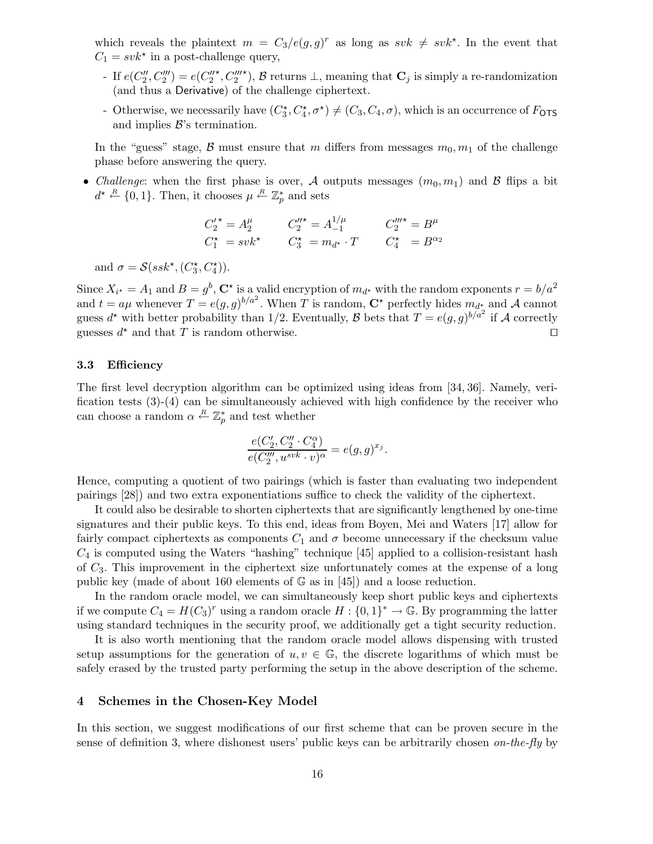which reveals the plaintext  $m = C_3/e(g,g)^r$  as long as  $s v k \neq s v k^*$ . In the event that  $C_1 = svk^*$  in a post-challenge query,

- If  $e(C''_2, C'''_2) = e(C''_2)$  $^{\star}, C_2'''$ <sup>\*</sup>),  $\beta$  returns  $\bot$ , meaning that  $\mathbf{C}_j$  is simply a re-randomization (and thus a Derivative) of the challenge ciphertext.
- Otherwise, we necessarily have  $(C_3^*, C_4^*, \sigma^*) \neq (C_3, C_4, \sigma)$ , which is an occurrence of  $F_{\text{OTS}}$ and implies  $\mathcal{B}$ 's termination.

In the "guess" stage,  $\beta$  must ensure that m differs from messages  $m_0, m_1$  of the challenge phase before answering the query.

• Challenge: when the first phase is over, A outputs messages  $(m_0, m_1)$  and B flips a bit  $d^* \stackrel{R}{\leftarrow} \{0,1\}$ . Then, it chooses  $\mu \stackrel{R}{\leftarrow} \mathbb{Z}_p^*$  and sets

$$
C_2^{\prime \star} = A_2^{\mu}
$$
  $C_2^{\prime \star} = A_{-1}^{1/\mu}$   $C_2^{\prime \prime \star} = B^{\mu}$   
\n $C_1^{\star} = svk^{\star}$   $C_3^{\star} = m_{d^{\star}} \cdot T$   $C_4^{\star} = B^{\alpha_2}$ 

and  $\sigma = \mathcal{S}(ssk^{\star}, (C_3^{\star}, C_4^{\star}))$ .

Since  $X_{i^*} = A_1$  and  $B = g^b$ ,  $\mathbb{C}^*$  is a valid encryption of  $m_{d^*}$  with the random exponents  $r = b/a^2$ and  $t = a\mu$  whenever  $T = e(g, g)^{b/a^2}$ . When T is random,  $\mathbb{C}^*$  perfectly hides  $m_{d^*}$  and A cannot guess  $d^*$  with better probability than 1/2. Eventually,  $\beta$  bets that  $T = e(g, g)^{b/a^2}$  if A correctly guesses  $d^*$  and that T is random otherwise.  $\Box$ 

#### 3.3 Efficiency

The first level decryption algorithm can be optimized using ideas from [34, 36]. Namely, verification tests  $(3)-(4)$  can be simultaneously achieved with high confidence by the receiver who can choose a random  $\alpha \stackrel{R}{\leftarrow} \mathbb{Z}_p^*$  $_{p}^{*}$  and test whether

$$
\frac{e(C_2',C_2''\cdot C_4^\alpha)}{e(C_2'',u^{svk}\cdot v)^\alpha}=e(g,g)^{x_j}.
$$

Hence, computing a quotient of two pairings (which is faster than evaluating two independent pairings [28]) and two extra exponentiations suffice to check the validity of the ciphertext.

It could also be desirable to shorten ciphertexts that are significantly lengthened by one-time signatures and their public keys. To this end, ideas from Boyen, Mei and Waters [17] allow for fairly compact ciphertexts as components  $C_1$  and  $\sigma$  become unnecessary if the checksum value  $C_4$  is computed using the Waters "hashing" technique [45] applied to a collision-resistant hash of  $C_3$ . This improvement in the ciphertext size unfortunately comes at the expense of a long public key (made of about 160 elements of  $\mathbb{G}$  as in [45]) and a loose reduction.

In the random oracle model, we can simultaneously keep short public keys and ciphertexts if we compute  $C_4 = H(C_3)^r$  using a random oracle  $H: \{0,1\}^* \to \mathbb{G}$ . By programming the latter using standard techniques in the security proof, we additionally get a tight security reduction.

It is also worth mentioning that the random oracle model allows dispensing with trusted setup assumptions for the generation of  $u, v \in \mathbb{G}$ , the discrete logarithms of which must be safely erased by the trusted party performing the setup in the above description of the scheme.

## 4 Schemes in the Chosen-Key Model

In this section, we suggest modifications of our first scheme that can be proven secure in the sense of definition 3, where dishonest users' public keys can be arbitrarily chosen on-the-fly by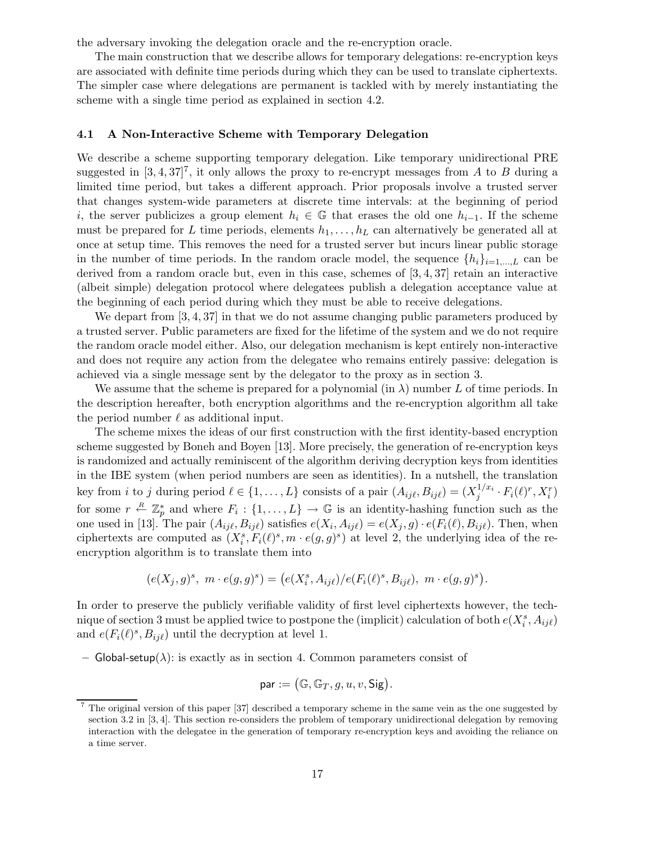the adversary invoking the delegation oracle and the re-encryption oracle.

The main construction that we describe allows for temporary delegations: re-encryption keys are associated with definite time periods during which they can be used to translate ciphertexts. The simpler case where delegations are permanent is tackled with by merely instantiating the scheme with a single time period as explained in section 4.2.

#### 4.1 A Non-Interactive Scheme with Temporary Delegation

We describe a scheme supporting temporary delegation. Like temporary unidirectional PRE suggested in  $[3, 4, 37]^7$ , it only allows the proxy to re-encrypt messages from A to B during a limited time period, but takes a different approach. Prior proposals involve a trusted server that changes system-wide parameters at discrete time intervals: at the beginning of period i, the server publicizes a group element  $h_i \in \mathbb{G}$  that erases the old one  $h_{i-1}$ . If the scheme must be prepared for L time periods, elements  $h_1, \ldots, h_L$  can alternatively be generated all at once at setup time. This removes the need for a trusted server but incurs linear public storage in the number of time periods. In the random oracle model, the sequence  $\{h_i\}_{i=1,\dots,L}$  can be derived from a random oracle but, even in this case, schemes of  $[3, 4, 37]$  retain an interactive (albeit simple) delegation protocol where delegatees publish a delegation acceptance value at the beginning of each period during which they must be able to receive delegations.

We depart from [3, 4, 37] in that we do not assume changing public parameters produced by a trusted server. Public parameters are fixed for the lifetime of the system and we do not require the random oracle model either. Also, our delegation mechanism is kept entirely non-interactive and does not require any action from the delegatee who remains entirely passive: delegation is achieved via a single message sent by the delegator to the proxy as in section 3.

We assume that the scheme is prepared for a polynomial (in  $\lambda$ ) number L of time periods. In the description hereafter, both encryption algorithms and the re-encryption algorithm all take the period number  $\ell$  as additional input.

The scheme mixes the ideas of our first construction with the first identity-based encryption scheme suggested by Boneh and Boyen [13]. More precisely, the generation of re-encryption keys is randomized and actually reminiscent of the algorithm deriving decryption keys from identities in the IBE system (when period numbers are seen as identities). In a nutshell, the translation key from *i* to *j* during period  $\ell \in \{1, ..., L\}$  consists of a pair  $(A_{ij\ell}, B_{ij\ell}) = (X_j^{1/x_i})$  $j^{1/x_i} \cdot F_i(\ell)^r, X_i^r)$ for some  $r \stackrel{R}{\leftarrow} \mathbb{Z}_p^*$  and where  $F_i: \{1, \ldots, L\} \to \mathbb{G}$  is an identity-hashing function such as the one used in [13]. The pair  $(A_{ij\ell}, B_{ij\ell})$  satisfies  $e(X_i, A_{ij\ell}) = e(X_j, g) \cdot e(F_i(\ell), B_{ij\ell})$ . Then, when ciphertexts are computed as  $(X_i^s, F_i(\ell)^s, m \cdot e(g, g)^s)$  at level 2, the underlying idea of the reencryption algorithm is to translate them into

$$
(e(X_j,g)^s, \ m \cdot e(g,g)^s) = \big(e(X_i^s,A_{ij\ell})/e(F_i(\ell)^s,B_{ij\ell}), \ m \cdot e(g,g)^s\big).
$$

In order to preserve the publicly verifiable validity of first level ciphertexts however, the technique of section 3 must be applied twice to postpone the (implicit) calculation of both  $e(X_i^s, A_{ij\ell})$ and  $e(F_i(\ell)^s, B_{ij\ell})$  until the decryption at level 1.

– Global-setup( $\lambda$ ): is exactly as in section 4. Common parameters consist of

$$
\mathsf{par} := \bigl(\mathbb{G}, \mathbb{G}_T, g, u, v, \mathsf{Sig}\bigr).
$$

<sup>7</sup> The original version of this paper [37] described a temporary scheme in the same vein as the one suggested by section 3.2 in [3, 4]. This section re-considers the problem of temporary unidirectional delegation by removing interaction with the delegatee in the generation of temporary re-encryption keys and avoiding the reliance on a time server.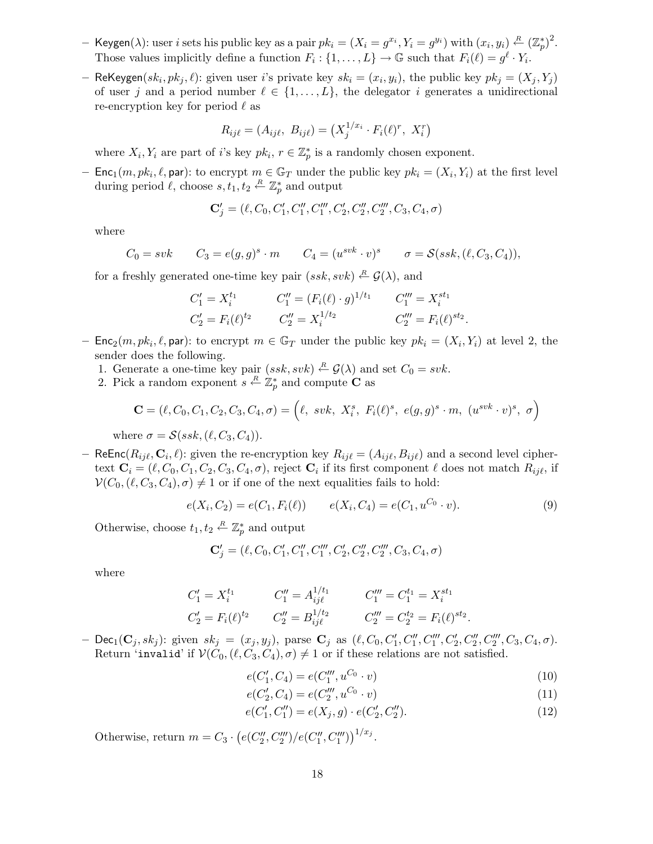- $-$  Keygen( $\lambda$ ): user *i* sets his public key as a pair  $pk_i = (X_i = g^{x_i}, Y_i = g^{y_i})$  with  $(x_i, y_i) \stackrel{R}{\leftarrow} (\mathbb{Z}_p^*)^2$ . Those values implicitly define a function  $F_i: \{1, \ldots, L\} \to \mathbb{G}$  such that  $F_i(\ell) = g^{\ell} \cdot Y_i$ .
- ReKeygen $(sk_i, pk_j, \ell)$ : given user *i*'s private key  $sk_i = (x_i, y_i)$ , the public key  $pk_j = (X_j, Y_j)$ of user j and a period number  $\ell \in \{1, \ldots, L\}$ , the delegator i generates a unidirectional re-encryption key for period  $\ell$  as

$$
R_{ij\ell} = (A_{ij\ell}, B_{ij\ell}) = (X_j^{1/x_i} \cdot F_i(\ell)^r, X_i^r)
$$

where  $X_i, Y_i$  are part of i's key  $pk_i, r \in \mathbb{Z}_p^*$  is a randomly chosen exponent.

- Enc<sub>1</sub> $(m, pk_i, \ell, \text{par})$ : to encrypt  $m \in \mathbb{G}_T$  under the public key  $pk_i = (X_i, Y_i)$  at the first level during period  $\ell$ , choose  $s, t_1, t_2 \stackrel{R}{\leftarrow} \mathbb{Z}_p^*$  $_{p}^{\ast}$  and output

$$
\mathbf{C}'_j=(\ell,C_0,C'_1,C''_1,C''_1,C'_2,C''_2,C''_2,C_3,C_4,\sigma)
$$

where

$$
C_0 = svk \qquad C_3 = e(g,g)^s \cdot m \qquad C_4 = (u^{svk} \cdot v)^s \qquad \sigma = \mathcal{S}(ssk, (\ell, C_3, C_4)),
$$

for a freshly generated one-time key pair  $(ssk, svk) \stackrel{R}{\leftarrow} \mathcal{G}(\lambda)$ , and

$$
C'_{1} = X_{i}^{t_{1}} \t C''_{1} = (F_{i}(\ell) \cdot g)^{1/t_{1}} \t C''_{1} = X_{i}^{st_{1}}
$$
  
\n
$$
C'_{2} = F_{i}(\ell)^{t_{2}} \t C''_{2} = X_{i}^{1/t_{2}} \t C'''_{2} = F_{i}(\ell)^{st_{2}}.
$$

- Enc<sub>2</sub> $(m, pk_i, \ell, par)$ : to encrypt  $m \in \mathbb{G}_T$  under the public key  $pk_i = (X_i, Y_i)$  at level 2, the sender does the following.
	- 1. Generate a one-time key pair  $(ssk, svk) \stackrel{R}{\leftarrow} \mathcal{G}(\lambda)$  and set  $C_0 = svk$ .
	- 2. Pick a random exponent  $s \stackrel{R}{\leftarrow} \mathbb{Z}_p^*$  and compute **C** as

$$
\mathbf{C} = (\ell, C_0, C_1, C_2, C_3, C_4, \sigma) = (\ell, \text{ svk}, X_i^s, F_i(\ell)^s, e(g, g)^s \cdot m, (u^{svk} \cdot v)^s, \sigma)
$$

where  $\sigma = \mathcal{S}(ssk, (\ell, C_3, C_4)).$ 

– ReEnc $(R_{ij\ell}, \mathbf{C}_i, \ell)$ : given the re-encryption key  $R_{ij\ell} = (A_{ij\ell}, B_{ij\ell})$  and a second level ciphertext  $\mathbf{C}_i = (\ell, C_0, C_1, C_2, C_3, C_4, \sigma)$ , reject  $\mathbf{C}_i$  if its first component  $\ell$  does not match  $R_{ij\ell}$ , if  $\mathcal{V}(C_0, (\ell, C_3, C_4), \sigma) \neq 1$  or if one of the next equalities fails to hold:

$$
e(X_i, C_2) = e(C_1, F_i(\ell)) \qquad e(X_i, C_4) = e(C_1, u^{C_0} \cdot v). \tag{9}
$$

Otherwise, choose  $t_1, t_2 \stackrel{R}{\leftarrow} \mathbb{Z}_p^*$  $_{p}^{\ast}$  and output

$$
\mathbf{C}'_j=(\ell,C_0,C'_1,C''_1,C''_1,C'_2,C''_2,C''_2,C_3,C_4,\sigma)
$$

where

$$
C'_1 = X_i^{t_1} \t C''_1 = A_{ij\ell}^{1/t_1} \t C''_1 = C_1^{t_1} = X_i^{st_1}
$$
  
\n
$$
C'_2 = F_i(\ell)^{t_2} \t C''_2 = B_{ij\ell}^{1/t_2} \t C'''_2 = C_2^{t_2} = F_i(\ell)^{st_2}.
$$

- Dec<sub>1</sub>(C<sub>j</sub>, sk<sub>j</sub>): given  $sk_j = (x_j, y_j)$ , parse C<sub>j</sub> as  $(\ell, C_0, C'_1, C''_1, C''_1, C''_2, C''_2, C''_2, C_3, C_4, \sigma)$ . Return 'invalid' if  $V(C_0, (\ell, C_3, C_4), \sigma) \neq 1$  or if these relations are not satisfied.

$$
e(C'_1, C_4) = e(C'''_1, u^{C_0} \cdot v)
$$
\n(10)

$$
e(C_2', C_4) = e(C_2''', u^{C_0} \cdot v) \tag{11}
$$

$$
e(C'_1, C''_1) = e(X_j, g) \cdot e(C'_2, C''_2). \tag{12}
$$

Otherwise, return  $m = C_3 \cdot (e(C_2'')')$  $2^{\prime\prime\prime}, C_2^{\prime\prime\prime}\big)/e(C_1^{\prime\prime\prime})$  $\binom{m}{1}, C_1'''\big)^{1/x_j}.$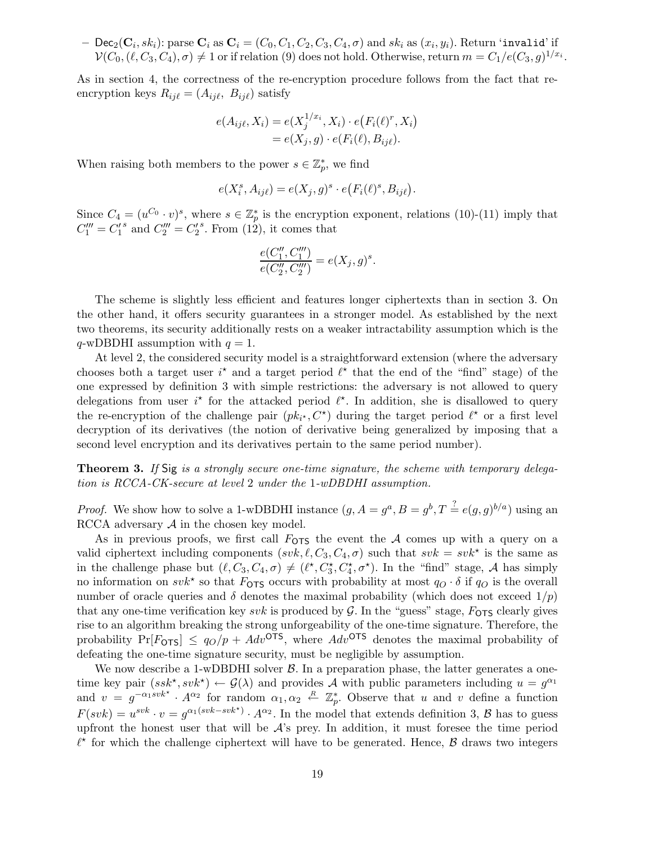$-$  Dec<sub>2</sub>( $\mathbf{C}_i$ ,  $sk_i$ ): parse  $\mathbf{C}_i$  as  $\mathbf{C}_i = (C_0, C_1, C_2, C_3, C_4, \sigma)$  and  $sk_i$  as  $(x_i, y_i)$ . Return 'invalid' if  $\mathcal{V}(C_0, (\ell, C_3, C_4), \sigma) \neq 1$  or if relation (9) does not hold. Otherwise, return  $m = C_1/e(C_3, g)^{1/x_i}$ .

As in section 4, the correctness of the re-encryption procedure follows from the fact that reencryption keys  $R_{ij\ell} = (A_{ij\ell}, B_{ij\ell})$  satisfy

$$
e(A_{ij\ell}, X_i) = e(X_j^{1/x_i}, X_i) \cdot e(F_i(\ell)^r, X_i)
$$
  
= 
$$
e(X_j, g) \cdot e(F_i(\ell), B_{ij\ell}).
$$

When raising both members to the power  $s \in \mathbb{Z}_p^*$  $_{p}^{*}$ , we find

$$
e(X_i^s, A_{ij\ell}) = e(X_j, g)^s \cdot e(F_i(\ell)^s, B_{ij\ell}).
$$

Since  $C_4 = (u^{C_0} \cdot v)^s$ , where  $s \in \mathbb{Z}_p^*$  $_{p}^{*}$  is the encryption exponent, relations (10)-(11) imply that  $C_1''' = C_1'$ 1 <sup>s</sup> and  $C_2''' = C_2'$ 2  $s$ . From  $(12)$ , it comes that

$$
\frac{e(C_1'',C_1''')}{e(C_2'',C_2''')}=e(X_j,g)^s.
$$

The scheme is slightly less efficient and features longer ciphertexts than in section 3. On the other hand, it offers security guarantees in a stronger model. As established by the next two theorems, its security additionally rests on a weaker intractability assumption which is the  $q$ -wDBDHI assumption with  $q = 1$ .

At level 2, the considered security model is a straightforward extension (where the adversary chooses both a target user  $i^*$  and a target period  $\ell^*$  that the end of the "find" stage) of the one expressed by definition 3 with simple restrictions: the adversary is not allowed to query delegations from user  $i^*$  for the attacked period  $\ell^*$ . In addition, she is disallowed to query the re-encryption of the challenge pair  $(pk_{i^*}, C^*)$  during the target period  $\ell^*$  or a first level decryption of its derivatives (the notion of derivative being generalized by imposing that a second level encryption and its derivatives pertain to the same period number).

**Theorem 3.** If Sig is a strongly secure one-time signature, the scheme with temporary delegation is RCCA-CK-secure at level 2 under the 1-wDBDHI assumption.

*Proof.* We show how to solve a 1-wDBDHI instance  $(g, A = g^a, B = g^b, T \stackrel{?}{=} e(g, g)^{b/a}$  using an RCCA adversary  $A$  in the chosen key model.

As in previous proofs, we first call  $F_{\text{OTS}}$  the event the A comes up with a query on a valid ciphertext including components  $(svk, \ell, C_3, C_4, \sigma)$  such that  $svk = svk^*$  is the same as in the challenge phase but  $(\ell, C_3, C_4, \sigma) \neq (\ell^*, C_3^*, C_4^*, \sigma^*)$ . In the "find" stage, A has simply no information on  $svk^*$  so that  $F_{\text{OTS}}$  occurs with probability at most  $q_O \cdot \delta$  if  $q_O$  is the overall number of oracle queries and  $\delta$  denotes the maximal probability (which does not exceed  $1/p$ ) that any one-time verification key svk is produced by  $\mathcal{G}$ . In the "guess" stage,  $F_{\text{OTS}}$  clearly gives rise to an algorithm breaking the strong unforgeability of the one-time signature. Therefore, the probability  $Pr[F_{\text{OTS}}] \leq q_O/p + Adv^{\text{OTS}}$ , where  $Adv^{\text{OTS}}$  denotes the maximal probability of defeating the one-time signature security, must be negligible by assumption.

We now describe a 1-wDBDHI solver  $\beta$ . In a preparation phase, the latter generates a onetime key pair  $(ssk^*, svk^*) \leftarrow \mathcal{G}(\lambda)$  and provides A with public parameters including  $u = g^{\alpha_1}$ and  $v = g^{-\alpha_1 s v k^*} \cdot A^{\alpha_2}$  for random  $\alpha_1, \alpha_2 \stackrel{R}{\leftarrow} \mathbb{Z}_p^*$ . Observe that u and v define a function  $F(svk) = u^{svk} \cdot v = g^{\alpha_1(svk - svk^*)} \cdot A^{\alpha_2}$ . In the model that extends definition 3, B has to guess upfront the honest user that will be  $\mathcal{A}$ 's prey. In addition, it must foresee the time period  $\ell^*$  for which the challenge ciphertext will have to be generated. Hence,  $\beta$  draws two integers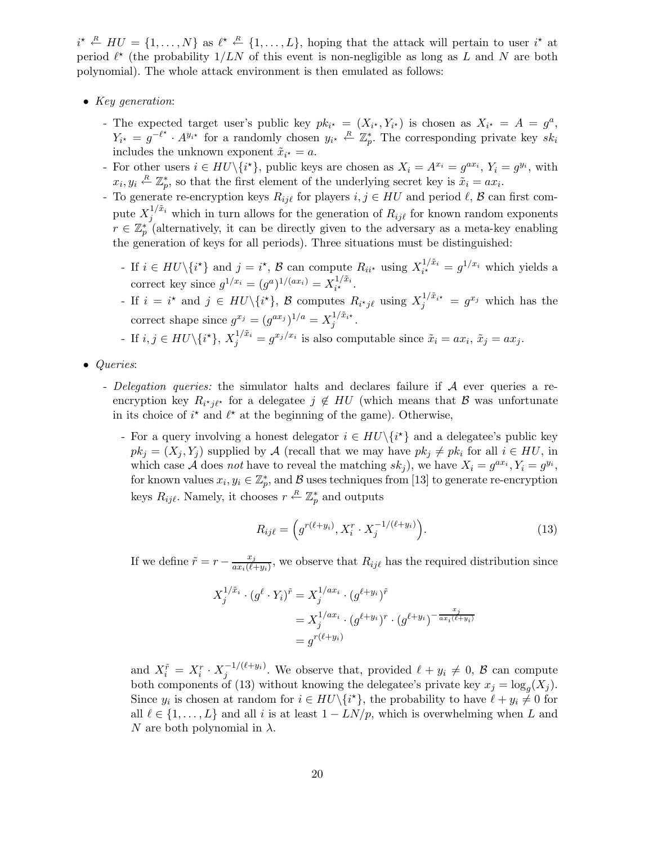$i^* \stackrel{R}{\leftarrow} H U = \{1, \ldots, N\}$  as  $\ell^* \stackrel{R}{\leftarrow} \{1, \ldots, L\}$ , hoping that the attack will pertain to user  $i^*$  at period  $\ell^*$  (the probability  $1/LN$  of this event is non-negligible as long as L and N are both polynomial). The whole attack environment is then emulated as follows:

- Key generation:
	- The expected target user's public key  $pk_{i^*} = (X_{i^*}, Y_{i^*})$  is chosen as  $X_{i^*} = A = g^a$ ,  $Y_{i^*} = g^{-\ell^*} \cdot A^{y_{i^*}}$  for a randomly chosen  $y_{i^*} \stackrel{R}{\leftarrow} \mathbb{Z}_p^*$ . The corresponding private key  $sk_i$ includes the unknown exponent  $\tilde{x}_{i^*} = a$ .
	- For other users  $i \in H\mathbb{U}\backslash\{i^{\star}\}\,$ , public keys are chosen as  $X_i = A^{x_i} = g^{ax_i}$ ,  $Y_i = g^{y_i}$ , with  $x_i, y_i \stackrel{R}{\leftarrow} \mathbb{Z}_p^*$ \*, so that the first element of the underlying secret key is  $\tilde{x}_i = ax_i$ .
	- To generate re-encryption keys  $R_{ij\ell}$  for players  $i, j \in HU$  and period  $\ell, \mathcal{B}$  can first compute  $X_j^{1/\tilde{x}_i}$  which in turn allows for the generation of  $R_{ij\ell}$  for known random exponents  $r \in \mathbb{Z}_p^*$  (alternatively, it can be directly given to the adversary as a meta-key enabling the generation of keys for all periods). Three situations must be distinguished:
		- If  $i \in HU \setminus \{i^{\star}\}\$ and  $j = i^{\star}, \mathcal{B}$  can compute  $R_{ii^{\star}}$  using  $X_{i^{\star}}^{1/\tilde{x}_{i}}$  $a_i^{1/x_i} = g^{1/x_i}$  which yields a correct key since  $g^{1/x_i} = (g^a)^{1/(ax_i)} = X_{i*}^{1/\tilde{x}_i}$  $\frac{1}{i^{\star}}$   $\frac{x_i}{\cdot}$
		- If  $i = i^*$  and  $j \in HU \setminus \{i^*\}, \mathcal{B}$  computes  $R_{i^*j\ell}$  using  $X_j^{1/\tilde{x}_{i^*}} = g^{x_j}$  which has the correct shape since  $g^{x_j} = (g^{ax_j})^{1/a} = X_j^{1/\tilde{x}_{i^*}}$ .

- If 
$$
i, j \in HU \setminus \{i^{\star}\}, X_j^{1/\tilde{x}_i} = g^{x_j/x_i}
$$
 is also computable since  $\tilde{x}_i = ax_i, \tilde{x}_j = ax_j$ .

- Queries:
	- Delegation queries: the simulator halts and declares failure if  $A$  ever queries a reencryption key  $R_{i^*j\ell^*}$  for a delegatee  $j \notin HU$  (which means that  $\mathcal B$  was unfortunate in its choice of  $i^*$  and  $\ell^*$  at the beginning of the game). Otherwise,
		- For a query involving a honest delegator  $i \in HU \setminus \{i^{\star}\}\$  and a delegatee's public key  $pk_j = (X_j, Y_j)$  supplied by A (recall that we may have  $pk_j \neq pk_i$  for all  $i \in HU$ , in which case A does not have to reveal the matching  $sk_j$ , we have  $X_i = g^{ax_i}, Y_i = g^{y_i}$ , for known values  $x_i, y_i \in \mathbb{Z}_p^*$ , and  $\mathcal B$  uses techniques from [13] to generate re-encryption keys  $R_{ij\ell}$ . Namely, it chooses  $r \stackrel{R}{\leftarrow} \mathbb{Z}_p^*$  and outputs

$$
R_{ij\ell} = \left(g^{r(\ell+y_i)}, X_i^r \cdot X_j^{-1/(\ell+y_i)}\right).
$$
 (13)

If we define  $\tilde{r} = r - \frac{x_j}{ax \cdot (\ell - x_j)}$  $\frac{x_j}{ax_i(\ell+y_i)}$ , we observe that  $R_{ij\ell}$  has the required distribution since

$$
X_j^{1/\tilde{x}_i} \cdot (g^\ell \cdot Y_i)^{\tilde{r}} = X_j^{1/ax_i} \cdot (g^{\ell+y_i})^{\tilde{r}}
$$
  
=  $X_j^{1/ax_i} \cdot (g^{\ell+y_i})^r \cdot (g^{\ell+y_i})^{-\frac{x_j}{ax_i(\ell+y_i)}}$   
=  $g^{r(\ell+y_i)}$ 

and  $X_i^{\tilde{r}} = X_i^r \cdot X_j^{-1/(\ell+y_i)}$  $j_j^{-(1)(\ell+y_i)}$ . We observe that, provided  $\ell+y_i\neq 0, \mathcal{B}$  can compute both components of (13) without knowing the delegatee's private key  $x_j = \log_g(X_j)$ . Since  $y_i$  is chosen at random for  $i \in HU \setminus {\{i^{\star}\}}$ , the probability to have  $\ell + y_i \neq 0$  for all  $\ell \in \{1, \ldots, L\}$  and all i is at least  $1 - LN/p$ , which is overwhelming when L and N are both polynomial in  $\lambda$ .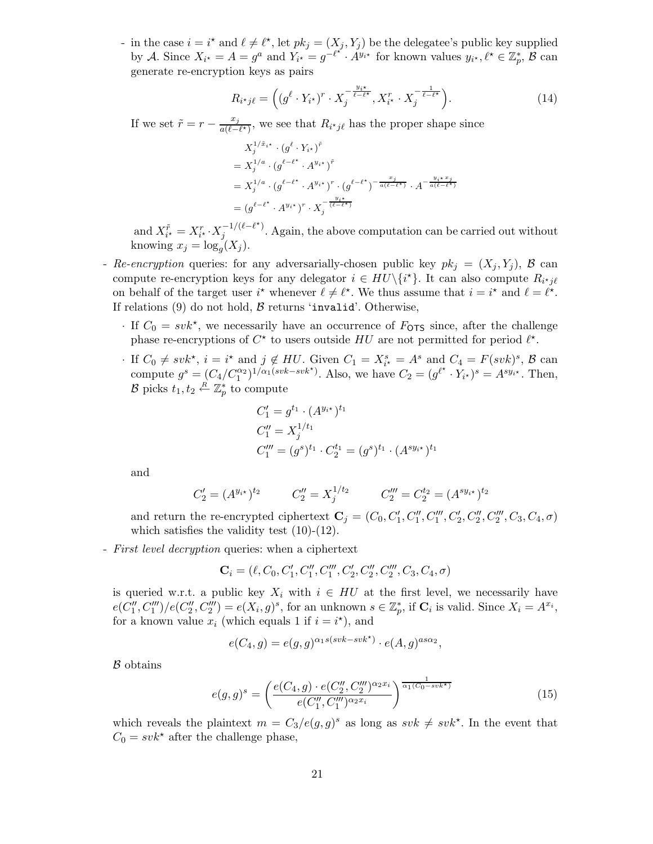- in the case  $i = i^*$  and  $\ell \neq \ell^*$ , let  $pk_j = (X_j, Y_j)$  be the delegatee's public key supplied by A. Since  $X_{i^*} = A = g^a$  and  $Y_{i^*} = g^{-\ell^{*^*}} \cdot A^{y_{i^*}}$  for known values  $y_{i^*}, \ell^* \in \mathbb{Z}_p^*$ ,  $\mathcal{B}$  can generate re-encryption keys as pairs

$$
R_{i^{\star}j\ell} = \left( (g^{\ell} \cdot Y_{i^{\star}})^{r} \cdot X_j^{-\frac{y_{i^{\star}}}{\ell - \ell^{\star}}}, X_{i^{\star}}^{r} \cdot X_j^{-\frac{1}{\ell - \ell^{\star}}} \right).
$$
\n(14)

If we set  $\tilde{r} = r - \frac{x_j}{a(\ell - 1)}$  $\frac{x_j}{a(\ell-\ell^*)}$ , we see that  $R_{i^*j\ell}$  has the proper shape since

$$
X_j^{1/\tilde{x}_{i^*}} \cdot (g^{\ell} \cdot Y_{i^*})^{\tilde{r}}
$$
  
=  $X_j^{1/a} \cdot (g^{\ell-\ell^*} \cdot A^{y_{i^*}})^{\tilde{r}}$   
=  $X_j^{1/a} \cdot (g^{\ell-\ell^*} \cdot A^{y_{i^*}})^r \cdot (g^{\ell-\ell^*})^{-\frac{x_j}{a(\ell-\ell^*)}} \cdot A^{-\frac{y_i x}{a(\ell-\ell^*)}}$   
=  $(g^{\ell-\ell^*} \cdot A^{y_{i^*}})^r \cdot X_j^{-\frac{y_i}{(\ell-\ell^*)}}$ 

and  $X_{i^*}^{\tilde{r}} = X_{i^*}^r \cdot X_j^{-1/(\ell - \ell^*)}$  $j_j^{-(1)(\ell-\ell)}$ . Again, the above computation can be carried out without knowing  $x_j = \log_g(X_j)$ .

- Re-encryption queries: for any adversarially-chosen public key  $pk_j = (X_j, Y_j)$ , B can compute re-encryption keys for any delegator  $i \in HU \setminus \{i^{\star}\}\$ . It can also compute  $R_{i^{\star} j \ell}$ on behalf of the target user  $i^*$  whenever  $\ell \neq \ell^*$ . We thus assume that  $i = i^*$  and  $\ell = \ell^*$ . If relations  $(9)$  do not hold,  $\beta$  returns 'invalid'. Otherwise,
	- $\cdot$  If  $C_0 = svk^*$ , we necessarily have an occurrence of  $F_{\text{OTS}}$  since, after the challenge phase re-encryptions of  $C^*$  to users outside HU are not permitted for period  $\ell^*$ .
	- · If  $C_0 \neq svk^*$ ,  $i = i^*$  and  $j \notin HU$ . Given  $C_1 = X_{i^*}^s = A^s$  and  $C_4 = F(svk)^s$ ,  $\beta$  can compute  $g^s = (C_4/C_1^{\alpha_2})^{1/\alpha_1(svk-svk^*)}$ . Also, we have  $C_2 = (g^{\ell^*} \cdot Y_{i^*})^s = A^{s y_{i^*}}$ . Then,  $\mathcal{B}$  picks  $t_1, t_2 \stackrel{R}{\leftarrow} \mathbb{Z}_p^*$  to compute

$$
C'_1 = g^{t_1} \cdot (A^{y_{i^*}})^{t_1}
$$
  
\n
$$
C''_1 = X_j^{1/t_1}
$$
  
\n
$$
C'''_1 = (g^s)^{t_1} \cdot C_2^{t_1} = (g^s)^{t_1} \cdot (A^{sy_{i^*}})^{t_1}
$$

and

$$
C_2' = (A^{y_{i\star}})^{t_2} \qquad C_2'' = X_j^{1/t_2} \qquad C_2''' = C_2^{t_2} = (A^{sy_{i\star}})^{t_2}
$$

and return the re-encrypted ciphertext  $\mathbf{C}_j = (C_0, C'_1, C''_1, C''_1, C'_2, C''_2, C''_2, C_3, C_4, \sigma)$ which satisfies the validity test  $(10)-(12)$ .

- First level decryption queries: when a ciphertext

 $\mathbf{C}_i = (\ell, C_0, C'_1, C''_1, C'''_1, C'_2, C''_2, C'''_2, C_3, C_4, \sigma)$ 

is queried w.r.t. a public key  $X_i$  with  $i \in HU$  at the first level, we necessarily have  $e(\tilde{C_1''})$  $\binom{n'}{1},C''''_1)/e(C''_2$  $\mathcal{L}_2''', C_2'''') = e(X_i, g)^s$ , for an unknown  $s \in \mathbb{Z}_p^*$ \*, if  $\mathbf{C}_i$  is valid. Since  $X_i = A^{x_i}$ , for a known value  $x_i$  (which equals 1 if  $i = i^*$ ), and

$$
e(C_4, g) = e(g, g)^{\alpha_1 s (svk - svk^*)} \cdot e(A, g)^{as\alpha_2},
$$

B obtains

$$
e(g,g)^s = \left(\frac{e(C_4,g) \cdot e(C_2'',C_2''')^{\alpha_2 x_i}}{e(C_1'',C_1''')^{\alpha_2 x_i}}\right)^{\frac{1}{\alpha_1(C_0 - svk^{\star})}}
$$
(15)

which reveals the plaintext  $m = C_3/e(g, g)^s$  as long as  $s v k \neq s v k^*$ . In the event that  $C_0 = svk^*$  after the challenge phase,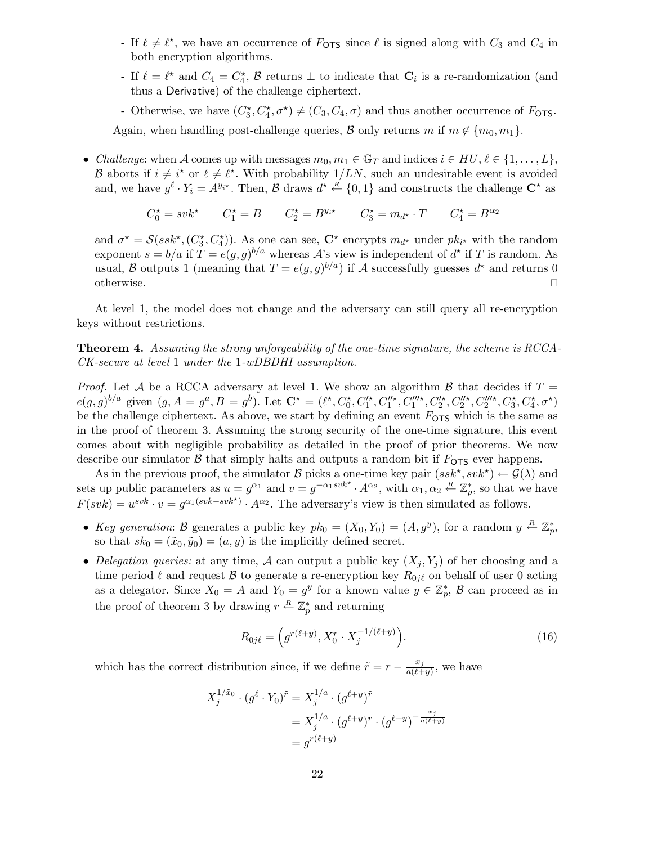- If  $\ell \neq \ell^*$ , we have an occurrence of  $F_{\text{OTS}}$  since  $\ell$  is signed along with  $C_3$  and  $C_4$  in both encryption algorithms.
- If  $\ell = \ell^*$  and  $C_4 = C_4^*$ ,  $\beta$  returns  $\bot$  to indicate that  $\mathbf{C}_i$  is a re-randomization (and thus a Derivative) of the challenge ciphertext.
- Otherwise, we have  $(C_3^{\star}, C_4^{\star}, \sigma^{\star}) \neq (C_3, C_4, \sigma)$  and thus another occurrence of  $F_{\text{OTS}}$ .

Again, when handling post-challenge queries, B only returns m if  $m \notin \{m_0, m_1\}$ .

• Challenge: when A comes up with messages  $m_0, m_1 \in \mathbb{G}_T$  and indices  $i \in HU, \ell \in \{1, \ldots, L\}$ , B aborts if  $i \neq i^*$  or  $\ell \neq \ell^*$ . With probability  $1/LN$ , such an undesirable event is avoided and, we have  $g^{\ell} \cdot Y_i = A^{y_{i^*}}$ . Then,  $\mathcal{B}$  draws  $d^* \stackrel{R}{\leftarrow} \{0,1\}$  and constructs the challenge  $\mathbb{C}^*$  as

$$
C_0^* = svk^* \qquad C_1^* = B \qquad C_2^* = B^{y_{i^*}} \qquad C_3^* = m_{d^*} \cdot T \qquad C_4^* = B^{\alpha_2}
$$

and  $\sigma^* = \mathcal{S}(ssk^*, (C_3^*, C_4^*))$ . As one can see,  $\mathbb{C}^*$  encrypts  $m_{d^*}$  under  $pk_{i^*}$  with the random exponent  $s = b/a$  if  $T = e(g, g)^{b/a}$  whereas A's view is independent of  $d^*$  if T is random. As usual, B outputs 1 (meaning that  $T = e(g, g)^{b/a}$ ) if A successfully guesses  $d^*$  and returns 0 otherwise. ⊓⊔

At level 1, the model does not change and the adversary can still query all re-encryption keys without restrictions.

Theorem 4. Assuming the strong unforgeability of the one-time signature, the scheme is RCCA-CK-secure at level 1 under the 1-wDBDHI assumption.

*Proof.* Let A be a RCCA adversary at level 1. We show an algorithm B that decides if  $T =$  $e(g,g)^{b/a}$  given  $(g, A = g^a, B = g^b)$ . Let  $\mathbf{C}^{\star} = (\ell^{\star}, C_0^{\star}, C_1'^{\star}, C_1''^{\star}, C_1'''^{\star}, C_2''^{\star}, C_2''^{\star}, C_2'''^{\star}, C_3^{\star}, C_4^{\star}, \sigma^{\star})$ be the challenge ciphertext. As above, we start by defining an event  $F_{\text{OTS}}$  which is the same as in the proof of theorem 3. Assuming the strong security of the one-time signature, this event comes about with negligible probability as detailed in the proof of prior theorems. We now describe our simulator  $\beta$  that simply halts and outputs a random bit if  $F_{\text{OTS}}$  ever happens.

As in the previous proof, the simulator B picks a one-time key pair  $(ssk^*, svk^*) \leftarrow \mathcal{G}(\lambda)$  and sets up public parameters as  $u = g^{\alpha_1}$  and  $v = g^{-\alpha_1 s v k^*} \cdot A^{\alpha_2}$ , with  $\alpha_1, \alpha_2 \stackrel{R}{\leftarrow} \mathbb{Z}_p^*$ , so that we have  $F(svk) = u^{svk} \cdot v = g^{\alpha_1(svk - svk^*)} \cdot A^{\alpha_2}$ . The adversary's view is then simulated as follows.

- Key generation: B generates a public key  $pk_0 = (X_0, Y_0) = (A, g^y)$ , for a random  $y \stackrel{R}{\leftarrow} \mathbb{Z}_p^*$  $_{p}^{\ast},$ so that  $sk_0 = (\tilde{x}_0, \tilde{y}_0) = (a, y)$  is the implicitly defined secret.
- Delegation queries: at any time, A can output a public key  $(X_j, Y_j)$  of her choosing and a time period  $\ell$  and request  $\beta$  to generate a re-encryption key  $R_{0i\ell}$  on behalf of user 0 acting as a delegator. Since  $X_0 = A$  and  $Y_0 = g^y$  for a known value  $y \in \mathbb{Z}_p^*$  $_{p}^{*}$ ,  $\beta$  can proceed as in the proof of theorem 3 by drawing  $r \stackrel{R}{\leftarrow} \mathbb{Z}_p^*$  $_{p}^{*}$  and returning

$$
R_{0j\ell} = \left(g^{r(\ell+y)}, X_0^r \cdot X_j^{-1/(\ell+y)}\right). \tag{16}
$$

which has the correct distribution since, if we define  $\tilde{r} = r - \frac{x_j}{a(\ell + 1)}$  $\frac{x_j}{a(\ell+y)}$ , we have

$$
X_j^{1/\tilde{x}_0} \cdot (g^{\ell} \cdot Y_0)^{\tilde{r}} = X_j^{1/a} \cdot (g^{\ell+y})^{\tilde{r}}
$$
  
= 
$$
X_j^{1/a} \cdot (g^{\ell+y})^r \cdot (g^{\ell+y})^{-\frac{x_j}{a(\ell+y)}}
$$
  
= 
$$
g^{r(\ell+y)}
$$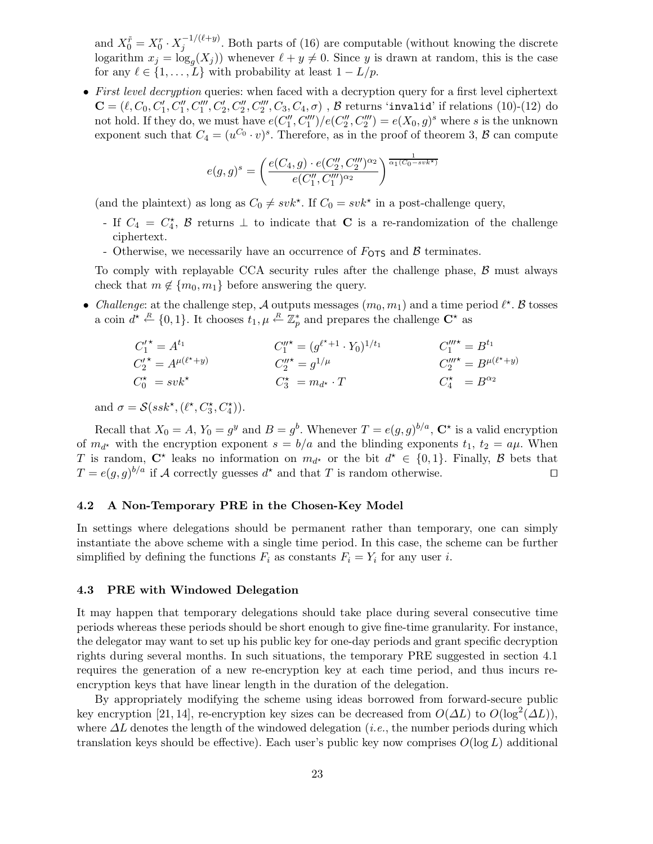and  $X_0^{\tilde{r}} = X_0^r \cdot X_j^{-1/(\ell+y)}$  $j_j^{(-1)(\ell+y)}$ . Both parts of (16) are computable (without knowing the discrete logarithm  $x_j = \log_g(X_j)$  whenever  $\ell + y \neq 0$ . Since y is drawn at random, this is the case for any  $\ell \in \{1, \ldots, L\}$  with probability at least  $1 - L/p$ .

• First level decryption queries: when faced with a decryption query for a first level ciphertext  $\mathbf{C} = (\ell, C_0, C'_1, C''_1, C''_1, C'_2, C''_2, C'''_2, C_3, C_4, \sigma)$ ,  $\beta$  returns 'invalid' if relations (10)-(12) do not hold. If they do, we must have  $e(C_1'')$  $\binom{1\prime}{1},C_{1}^{\prime\prime\prime}\big)/e(C_{2}^{\prime\prime\prime}% )^{2}$  $2''_2, C_2'''$  =  $e(X_0, g)^s$  where s is the unknown exponent such that  $C_4 = (u^{C_0} \cdot v)^s$ . Therefore, as in the proof of theorem 3,  $\beta$  can compute

$$
e(g,g)^s = \left(\frac{e(C_4,g) \cdot e(C_2'',C_2''')^{\alpha_2}}{e(C_1'',C_1''')^{\alpha_2}}\right)^{\frac{1}{\alpha_1(C_0-sv k^*)}}
$$

(and the plaintext) as long as  $C_0 \neq svk^*$ . If  $C_0 = svk^*$  in a post-challenge query,

- If  $C_4 = C_4^*$ ,  $\beta$  returns  $\bot$  to indicate that **C** is a re-randomization of the challenge ciphertext.
- Otherwise, we necessarily have an occurrence of  $F_{\text{OTS}}$  and  $\beta$  terminates.

To comply with replayable CCA security rules after the challenge phase,  $\beta$  must always check that  $m \notin \{m_0, m_1\}$  before answering the query.

• Challenge: at the challenge step, A outputs messages  $(m_0, m_1)$  and a time period  $\ell^*$ . B tosses a coin  $d^* \stackrel{R}{\leftarrow} \{0,1\}$ . It chooses  $t_1, \mu \stackrel{R}{\leftarrow} \mathbb{Z}_p^*$  $_{p}^{*}$  and prepares the challenge  $\mathbf{C}^{\star}$  as

$$
C_1^{\prime \star} = A^{t_1}
$$
  
\n
$$
C_2^{\prime \star} = A^{\mu(\ell^{\star}+y)}
$$
  
\n
$$
C_3^{\prime \star} = g^{1/\mu}
$$
  
\n
$$
C_4^{\prime \star} = B^{t_1}
$$
  
\n
$$
C_5^{\prime \star} = g^{1/\mu}
$$
  
\n
$$
C_4^{\prime \star} = B^{\mu(\ell^{\star}+y)}
$$
  
\n
$$
C_5^{\prime \star} = m_{d^{\star}} \cdot T
$$
  
\n
$$
C_4^{\prime \star} = B^{\alpha_2}
$$

and  $\sigma = \mathcal{S}(ssk^{\star}, (\ell^{\star}, C_3^{\star}, C_4^{\star})).$ 

Recall that  $X_0 = A$ ,  $Y_0 = g^y$  and  $B = g^b$ . Whenever  $T = e(g, g)^{b/a}$ ,  $\mathbb{C}^*$  is a valid encryption of  $m_{d^*}$  with the encryption exponent  $s = b/a$  and the blinding exponents  $t_1, t_2 = a\mu$ . When T is random,  $\mathbb{C}^*$  leaks no information on  $m_{d^*}$  or the bit  $d^* \in \{0,1\}$ . Finally, B bets that  $T = e(g, g)^{b/a}$  if A correctly guesses  $d^*$  and that T is random otherwise. □

## 4.2 A Non-Temporary PRE in the Chosen-Key Model

In settings where delegations should be permanent rather than temporary, one can simply instantiate the above scheme with a single time period. In this case, the scheme can be further simplified by defining the functions  $F_i$  as constants  $F_i = Y_i$  for any user i.

#### 4.3 PRE with Windowed Delegation

It may happen that temporary delegations should take place during several consecutive time periods whereas these periods should be short enough to give fine-time granularity. For instance, the delegator may want to set up his public key for one-day periods and grant specific decryption rights during several months. In such situations, the temporary PRE suggested in section 4.1 requires the generation of a new re-encryption key at each time period, and thus incurs reencryption keys that have linear length in the duration of the delegation.

By appropriately modifying the scheme using ideas borrowed from forward-secure public key encryption [21, 14], re-encryption key sizes can be decreased from  $O(\Delta L)$  to  $O(\log^2(\Delta L))$ , where  $\Delta L$  denotes the length of the windowed delegation (*i.e.*, the number periods during which translation keys should be effective). Each user's public key now comprises  $O(\log L)$  additional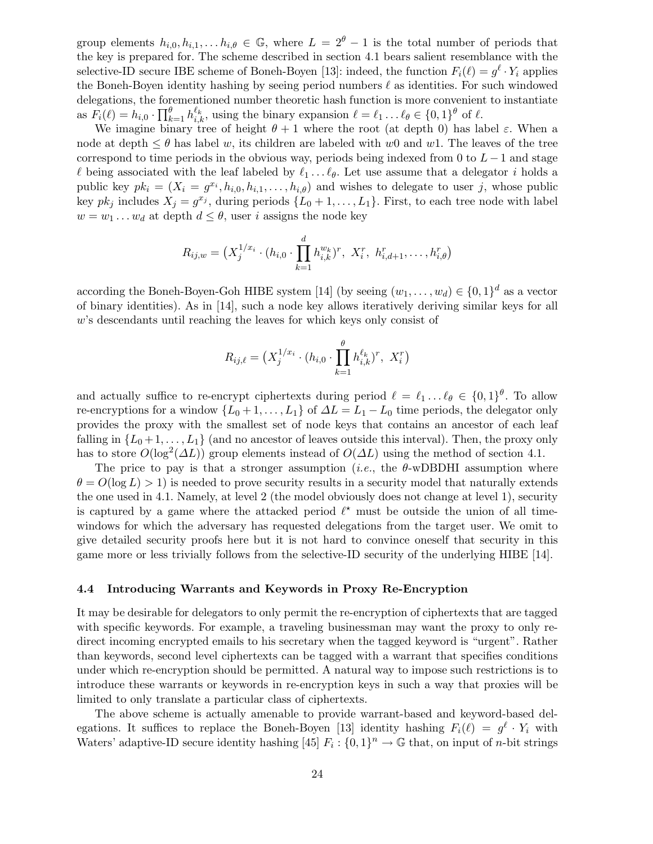group elements  $h_{i,0}, h_{i,1}, \ldots, h_{i,\theta} \in \mathbb{G}$ , where  $L = 2^{\theta} - 1$  is the total number of periods that the key is prepared for. The scheme described in section 4.1 bears salient resemblance with the selective-ID secure IBE scheme of Boneh-Boyen [13]: indeed, the function  $F_i(\ell) = g^{\ell} \cdot Y_i$  applies the Boneh-Boyen identity hashing by seeing period numbers  $\ell$  as identities. For such windowed delegations, the forementioned number theoretic hash function is more convenient to instantiate as  $F_i(\ell) = h_{i,0} \cdot \prod_{k=1}^{\theta} h_{i,k}^{\ell_k}$ , using the binary expansion  $\ell = \ell_1 \dots \ell_{\theta} \in \{0,1\}^{\theta}$  of  $\ell$ .

We imagine binary tree of height  $\theta + 1$  where the root (at depth 0) has label  $\varepsilon$ . When a node at depth  $\leq \theta$  has label w, its children are labeled with w0 and w1. The leaves of the tree correspond to time periods in the obvious way, periods being indexed from 0 to  $L-1$  and stage  $\ell$  being associated with the leaf labeled by  $\ell_1 \ldots \ell_{\theta}$ . Let use assume that a delegator i holds a public key  $pk_i = (X_i = g^{x_i}, h_{i,0}, h_{i,1}, \ldots, h_{i,\theta})$  and wishes to delegate to user j, whose public key  $pk_j$  includes  $X_j = g^{x_j}$ , during periods  $\{L_0 + 1, \ldots, L_1\}$ . First, to each tree node with label  $w = w_1 \dots w_d$  at depth  $d \leq \theta$ , user i assigns the node key

$$
R_{ij,w} = \left(X_j^{1/x_i} \cdot (h_{i,0} \cdot \prod_{k=1}^d h_{i,k}^{w_k})^r, X_i^r, h_{i,d+1}^r, \ldots, h_{i,\theta}^r\right)
$$

according the Boneh-Boyen-Goh HIBE system [14] (by seeing  $(w_1, \ldots, w_d) \in \{0,1\}^d$  as a vector of binary identities). As in [14], such a node key allows iteratively deriving similar keys for all w's descendants until reaching the leaves for which keys only consist of

$$
R_{ij,\ell} = \left( X_j^{1/x_i} \cdot (h_{i,0} \cdot \prod_{k=1}^{\theta} h_{i,k}^{\ell_k})^r, \ X_i^r \right)
$$

and actually suffice to re-encrypt ciphertexts during period  $\ell = \ell_1 \dots \ell_{\theta} \in \{0,1\}^{\theta}$ . To allow re-encryptions for a window  $\{L_0 + 1, \ldots, L_1\}$  of  $\Delta L = L_1 - L_0$  time periods, the delegator only provides the proxy with the smallest set of node keys that contains an ancestor of each leaf falling in  $\{L_0+1,\ldots,L_1\}$  (and no ancestor of leaves outside this interval). Then, the proxy only has to store  $O(\log^2(\Delta L))$  group elements instead of  $O(\Delta L)$  using the method of section 4.1.

The price to pay is that a stronger assumption (*i.e.*, the  $\theta$ -wDBDHI assumption where  $\theta = O(\log L) > 1$ ) is needed to prove security results in a security model that naturally extends the one used in 4.1. Namely, at level 2 (the model obviously does not change at level 1), security is captured by a game where the attacked period  $\ell^*$  must be outside the union of all timewindows for which the adversary has requested delegations from the target user. We omit to give detailed security proofs here but it is not hard to convince oneself that security in this game more or less trivially follows from the selective-ID security of the underlying HIBE [14].

#### 4.4 Introducing Warrants and Keywords in Proxy Re-Encryption

It may be desirable for delegators to only permit the re-encryption of ciphertexts that are tagged with specific keywords. For example, a traveling businessman may want the proxy to only redirect incoming encrypted emails to his secretary when the tagged keyword is "urgent". Rather than keywords, second level ciphertexts can be tagged with a warrant that specifies conditions under which re-encryption should be permitted. A natural way to impose such restrictions is to introduce these warrants or keywords in re-encryption keys in such a way that proxies will be limited to only translate a particular class of ciphertexts.

The above scheme is actually amenable to provide warrant-based and keyword-based delegations. It suffices to replace the Boneh-Boyen [13] identity hashing  $F_i(\ell) = g^{\ell} \cdot Y_i$  with Waters' adaptive-ID secure identity hashing [45]  $F_i: \{0,1\}^n \to \mathbb{G}$  that, on input of *n*-bit strings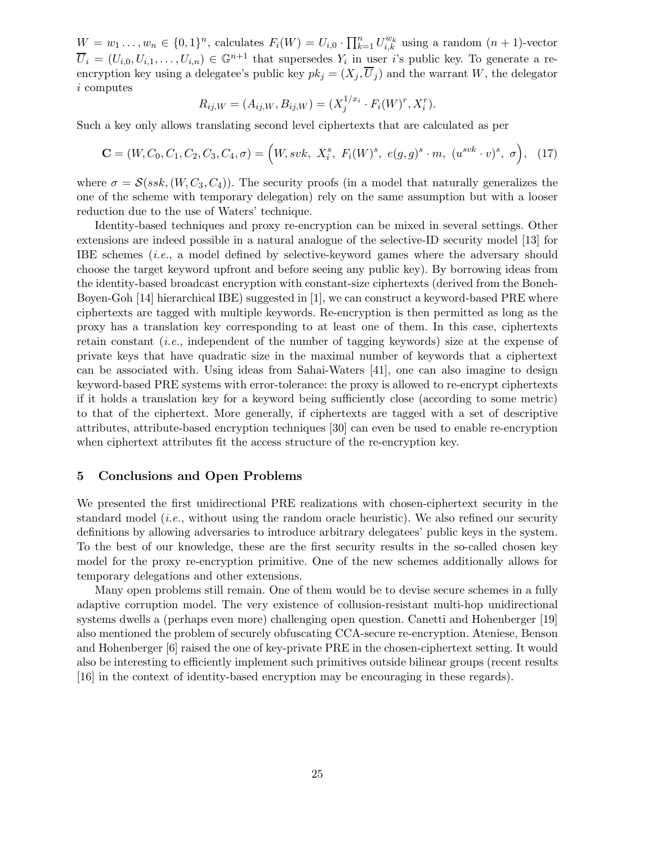$W = w_1 \dots, w_n \in \{0,1\}^n$ , calculates  $F_i(W) = U_{i,0} \cdot \prod_{k=1}^n U_{i,k}^{w_k}$  using a random  $(n+1)$ -vector  $\overline{U}_i = (U_{i,0}, U_{i,1}, \ldots, U_{i,n}) \in \mathbb{G}^{n+1}$  that supersedes  $Y_i$  in user *i*'s public key. To generate a reencryption key using a delegatee's public key  $pk_j = (X_j, \overline{U}_j)$  and the warrant W, the delegator i computes

$$
R_{ij,W} = (A_{ij,W}, B_{ij,W}) = (X_j^{1/x_i} \cdot F_i(W)^r, X_i^r).
$$

Such a key only allows translating second level ciphertexts that are calculated as per

$$
\mathbf{C} = (W, C_0, C_1, C_2, C_3, C_4, \sigma) = (W, svk, X_i^s, F_i(W)^s, e(g, g)^s \cdot m, (u^{svk} \cdot v)^s, \sigma), (17)
$$

where  $\sigma = \mathcal{S}(ssk,(W,C_3,C_4))$ . The security proofs (in a model that naturally generalizes the one of the scheme with temporary delegation) rely on the same assumption but with a looser reduction due to the use of Waters' technique.

Identity-based techniques and proxy re-encryption can be mixed in several settings. Other extensions are indeed possible in a natural analogue of the selective-ID security model [13] for IBE schemes (i.e., a model defined by selective-keyword games where the adversary should choose the target keyword upfront and before seeing any public key). By borrowing ideas from the identity-based broadcast encryption with constant-size ciphertexts (derived from the Boneh-Boyen-Goh [14] hierarchical IBE) suggested in [1], we can construct a keyword-based PRE where ciphertexts are tagged with multiple keywords. Re-encryption is then permitted as long as the proxy has a translation key corresponding to at least one of them. In this case, ciphertexts retain constant (*i.e.*, independent of the number of tagging keywords) size at the expense of private keys that have quadratic size in the maximal number of keywords that a ciphertext can be associated with. Using ideas from Sahai-Waters [41], one can also imagine to design keyword-based PRE systems with error-tolerance: the proxy is allowed to re-encrypt ciphertexts if it holds a translation key for a keyword being sufficiently close (according to some metric) to that of the ciphertext. More generally, if ciphertexts are tagged with a set of descriptive attributes, attribute-based encryption techniques [30] can even be used to enable re-encryption when ciphertext attributes fit the access structure of the re-encryption key.

## 5 Conclusions and Open Problems

We presented the first unidirectional PRE realizations with chosen-ciphertext security in the standard model  $(i.e.,$  without using the random oracle heuristic). We also refined our security definitions by allowing adversaries to introduce arbitrary delegatees' public keys in the system. To the best of our knowledge, these are the first security results in the so-called chosen key model for the proxy re-encryption primitive. One of the new schemes additionally allows for temporary delegations and other extensions.

Many open problems still remain. One of them would be to devise secure schemes in a fully adaptive corruption model. The very existence of collusion-resistant multi-hop unidirectional systems dwells a (perhaps even more) challenging open question. Canetti and Hohenberger [19] also mentioned the problem of securely obfuscating CCA-secure re-encryption. Ateniese, Benson and Hohenberger [6] raised the one of key-private PRE in the chosen-ciphertext setting. It would also be interesting to efficiently implement such primitives outside bilinear groups (recent results [16] in the context of identity-based encryption may be encouraging in these regards).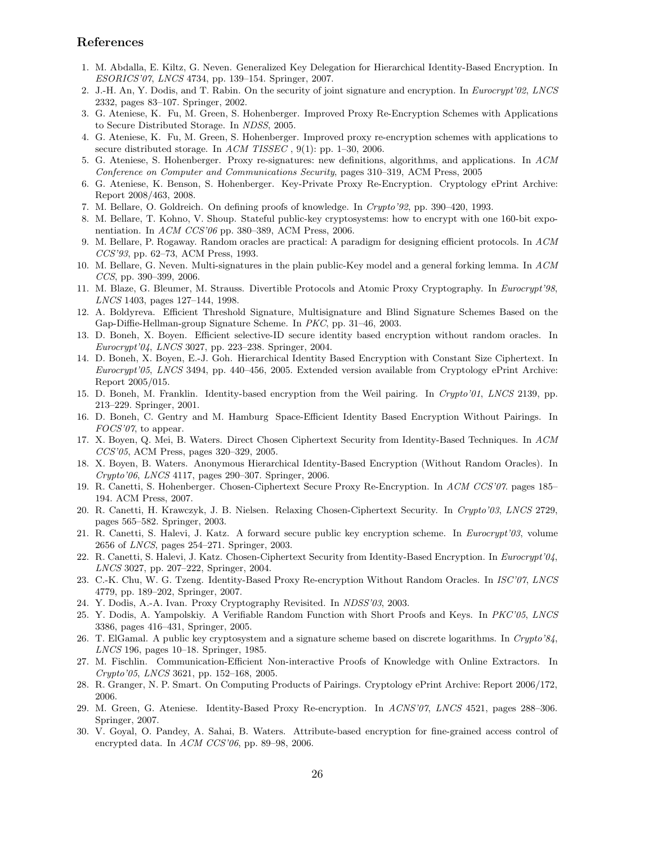# References

- 1. M. Abdalla, E. Kiltz, G. Neven. Generalized Key Delegation for Hierarchical Identity-Based Encryption. In ESORICS'07, LNCS 4734, pp. 139–154. Springer, 2007.
- 2. J.-H. An, Y. Dodis, and T. Rabin. On the security of joint signature and encryption. In Eurocrypt'02, LNCS 2332, pages 83–107. Springer, 2002.
- 3. G. Ateniese, K. Fu, M. Green, S. Hohenberger. Improved Proxy Re-Encryption Schemes with Applications to Secure Distributed Storage. In NDSS, 2005.
- 4. G. Ateniese, K. Fu, M. Green, S. Hohenberger. Improved proxy re-encryption schemes with applications to secure distributed storage. In ACM TISSEC,  $9(1)$ : pp. 1–30, 2006.
- 5. G. Ateniese, S. Hohenberger. Proxy re-signatures: new definitions, algorithms, and applications. In ACM Conference on Computer and Communications Security, pages 310–319, ACM Press, 2005
- 6. G. Ateniese, K. Benson, S. Hohenberger. Key-Private Proxy Re-Encryption. Cryptology ePrint Archive: Report 2008/463, 2008.
- 7. M. Bellare, O. Goldreich. On defining proofs of knowledge. In Crypto'92, pp. 390–420, 1993.
- 8. M. Bellare, T. Kohno, V. Shoup. Stateful public-key cryptosystems: how to encrypt with one 160-bit exponentiation. In  $ACM$   $CCS'06$  pp. 380–389, ACM Press, 2006.
- 9. M. Bellare, P. Rogaway. Random oracles are practical: A paradigm for designing efficient protocols. In ACM CCS'93, pp. 62–73, ACM Press, 1993.
- 10. M. Bellare, G. Neven. Multi-signatures in the plain public-Key model and a general forking lemma. In ACM CCS, pp. 390–399, 2006.
- 11. M. Blaze, G. Bleumer, M. Strauss. Divertible Protocols and Atomic Proxy Cryptography. In Eurocrypt'98, LNCS 1403, pages 127–144, 1998.
- 12. A. Boldyreva. Efficient Threshold Signature, Multisignature and Blind Signature Schemes Based on the Gap-Diffie-Hellman-group Signature Scheme. In PKC, pp. 31–46, 2003.
- 13. D. Boneh, X. Boyen. Efficient selective-ID secure identity based encryption without random oracles. In Eurocrypt'04, LNCS 3027, pp. 223–238. Springer, 2004.
- 14. D. Boneh, X. Boyen, E.-J. Goh. Hierarchical Identity Based Encryption with Constant Size Ciphertext. In Eurocrypt'05, LNCS 3494, pp. 440–456, 2005. Extended version available from Cryptology ePrint Archive: Report 2005/015.
- 15. D. Boneh, M. Franklin. Identity-based encryption from the Weil pairing. In Crypto'01, LNCS 2139, pp. 213–229. Springer, 2001.
- 16. D. Boneh, C. Gentry and M. Hamburg Space-Efficient Identity Based Encryption Without Pairings. In FOCS'07, to appear.
- 17. X. Boyen, Q. Mei, B. Waters. Direct Chosen Ciphertext Security from Identity-Based Techniques. In ACM CCS'05, ACM Press, pages 320–329, 2005.
- 18. X. Boyen, B. Waters. Anonymous Hierarchical Identity-Based Encryption (Without Random Oracles). In Crypto'06, LNCS 4117, pages 290–307. Springer, 2006.
- 19. R. Canetti, S. Hohenberger. Chosen-Ciphertext Secure Proxy Re-Encryption. In ACM CCS'07. pages 185– 194. ACM Press, 2007.
- 20. R. Canetti, H. Krawczyk, J. B. Nielsen. Relaxing Chosen-Ciphertext Security. In Crypto'03, LNCS 2729, pages 565–582. Springer, 2003.
- 21. R. Canetti, S. Halevi, J. Katz. A forward secure public key encryption scheme. In Eurocrypt'03, volume 2656 of LNCS, pages 254–271. Springer, 2003.
- 22. R. Canetti, S. Halevi, J. Katz. Chosen-Ciphertext Security from Identity-Based Encryption. In Eurocrypt'04, LNCS 3027, pp. 207–222, Springer, 2004.
- 23. C.-K. Chu, W. G. Tzeng. Identity-Based Proxy Re-encryption Without Random Oracles. In ISC'07, LNCS 4779, pp. 189–202, Springer, 2007.
- 24. Y. Dodis, A.-A. Ivan. Proxy Cryptography Revisited. In NDSS'03, 2003.
- 25. Y. Dodis, A. Yampolskiy. A Verifiable Random Function with Short Proofs and Keys. In PKC'05, LNCS 3386, pages 416–431, Springer, 2005.
- 26. T. ElGamal. A public key cryptosystem and a signature scheme based on discrete logarithms. In Crypto'84, LNCS 196, pages 10–18. Springer, 1985.
- 27. M. Fischlin. Communication-Efficient Non-interactive Proofs of Knowledge with Online Extractors. In Crypto'05, LNCS 3621, pp. 152–168, 2005.
- 28. R. Granger, N. P. Smart. On Computing Products of Pairings. Cryptology ePrint Archive: Report 2006/172, 2006.
- 29. M. Green, G. Ateniese. Identity-Based Proxy Re-encryption. In ACNS'07, LNCS 4521, pages 288–306. Springer, 2007.
- 30. V. Goyal, O. Pandey, A. Sahai, B. Waters. Attribute-based encryption for fine-grained access control of encrypted data. In ACM CCS'06, pp. 89–98, 2006.